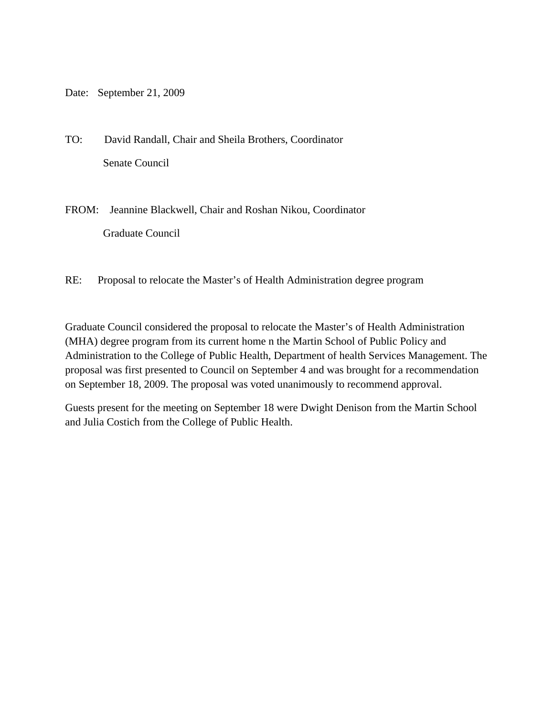Date: September 21, 2009

TO: David Randall, Chair and Sheila Brothers, Coordinator Senate Council

FROM: Jeannine Blackwell, Chair and Roshan Nikou, Coordinator Graduate Council

RE: Proposal to relocate the Master's of Health Administration degree program

Graduate Council considered the proposal to relocate the Master's of Health Administration (MHA) degree program from its current home n the Martin School of Public Policy and Administration to the College of Public Health, Department of health Services Management. The proposal was first presented to Council on September 4 and was brought for a recommendation on September 18, 2009. The proposal was voted unanimously to recommend approval.

Guests present for the meeting on September 18 were Dwight Denison from the Martin School and Julia Costich from the College of Public Health.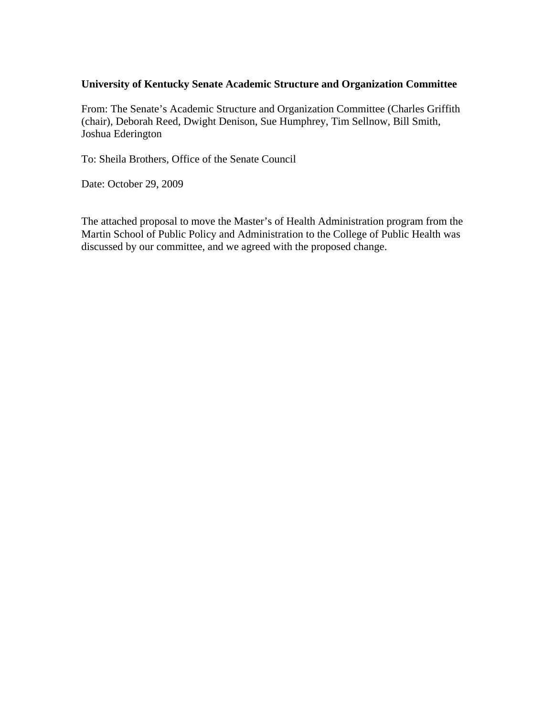## **University of Kentucky Senate Academic Structure and Organization Committee**

From: The Senate's Academic Structure and Organization Committee (Charles Griffith (chair), Deborah Reed, Dwight Denison, Sue Humphrey, Tim Sellnow, Bill Smith, Joshua Ederington

To: Sheila Brothers, Office of the Senate Council

Date: October 29, 2009

The attached proposal to move the Master's of Health Administration program from the Martin School of Public Policy and Administration to the College of Public Health was discussed by our committee, and we agreed with the proposed change.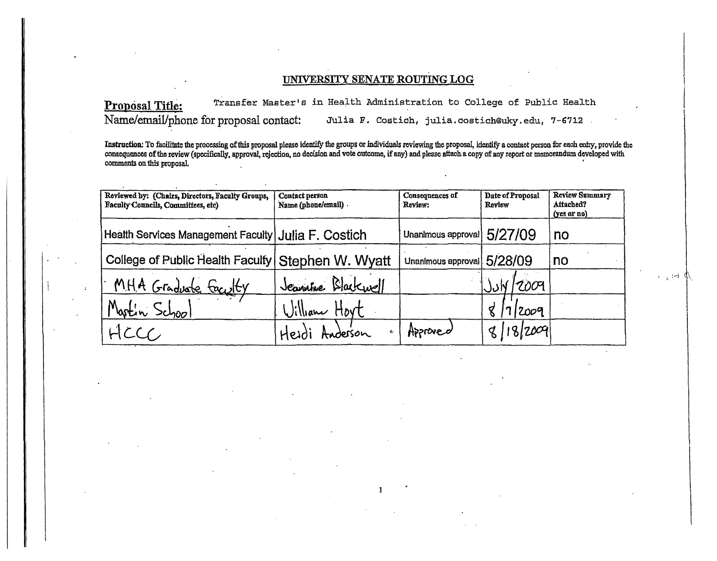# UNIVERSITY SENATE ROUTING LOG

## Transfer Master's in Health Administration to College of Public Health Proposal Title: Name/email/phone for proposal contact: Julia F. Costich, julia.costich@uky.edu, 7-6712

Instruction: To facilitate the processing of this proposal please identify the groups or individuals reviewing the proposal, identify a contact person for each entry, provide the consequences of the review (specifically, approval, rejection, no decision and vote outcome, if any) and please attach a copy of any report or memorandum developed with comments on this proposal.

| Reviewed by: (Chairs, Directors, Faculty Groups,<br>Faculty Councils, Committees, etc) | Contact person<br>Name (phone/email) . | Consequences of<br>Review: |
|----------------------------------------------------------------------------------------|----------------------------------------|----------------------------|
| Health Services Management Faculty Julia F. Costich                                    |                                        | Unanimous ap               |
| College of Public Health Faculty Stephen W. Wyatt                                      |                                        | Unanimous ap               |
| MHA Graduate Faculty                                                                   | Jeannine Blackwell                     |                            |
| Martin School                                                                          | William Hoyt                           |                            |
|                                                                                        | Heirli Anderson                        | HOPTOVEO                   |

| Date of Proposal<br>Review | <b>Review Summary</b><br>Attached?<br>(yes or no) |
|----------------------------|---------------------------------------------------|
| proval $5/27/09$           | no                                                |
| proval $5/28/09$           | no                                                |
| JJN/2009                   |                                                   |
| $8 \int 1/2009$            |                                                   |
| 8 18 2009                  |                                                   |

 $\mathcal{L}=\frac{1}{N}\left\{ \mathcal{B}\right\}$  .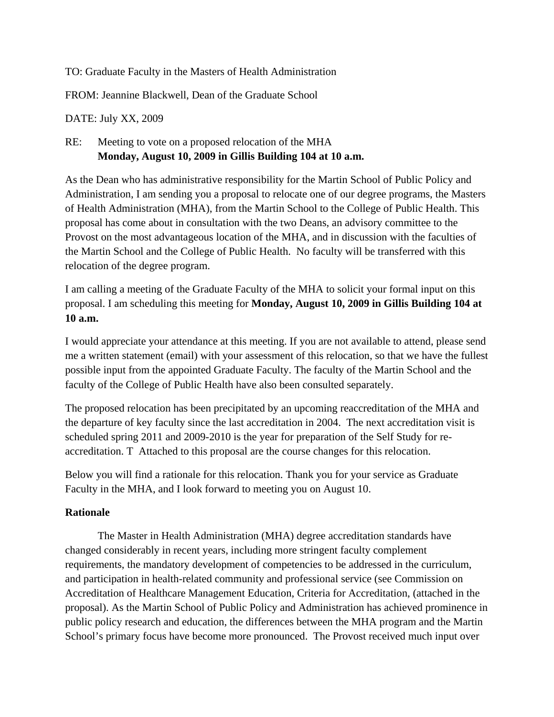## TO: Graduate Faculty in the Masters of Health Administration

FROM: Jeannine Blackwell, Dean of the Graduate School

DATE: July XX, 2009

## RE: Meeting to vote on a proposed relocation of the MHA **Monday, August 10, 2009 in Gillis Building 104 at 10 a.m.**

As the Dean who has administrative responsibility for the Martin School of Public Policy and Administration, I am sending you a proposal to relocate one of our degree programs, the Masters of Health Administration (MHA), from the Martin School to the College of Public Health. This proposal has come about in consultation with the two Deans, an advisory committee to the Provost on the most advantageous location of the MHA, and in discussion with the faculties of the Martin School and the College of Public Health. No faculty will be transferred with this relocation of the degree program.

I am calling a meeting of the Graduate Faculty of the MHA to solicit your formal input on this proposal. I am scheduling this meeting for **Monday, August 10, 2009 in Gillis Building 104 at 10 a.m.** 

I would appreciate your attendance at this meeting. If you are not available to attend, please send me a written statement (email) with your assessment of this relocation, so that we have the fullest possible input from the appointed Graduate Faculty. The faculty of the Martin School and the faculty of the College of Public Health have also been consulted separately.

The proposed relocation has been precipitated by an upcoming reaccreditation of the MHA and the departure of key faculty since the last accreditation in 2004. The next accreditation visit is scheduled spring 2011 and 2009-2010 is the year for preparation of the Self Study for reaccreditation. T Attached to this proposal are the course changes for this relocation.

Below you will find a rationale for this relocation. Thank you for your service as Graduate Faculty in the MHA, and I look forward to meeting you on August 10.

## **Rationale**

 The Master in Health Administration (MHA) degree accreditation standards have changed considerably in recent years, including more stringent faculty complement requirements, the mandatory development of competencies to be addressed in the curriculum, and participation in health-related community and professional service (see Commission on Accreditation of Healthcare Management Education, Criteria for Accreditation, (attached in the proposal). As the Martin School of Public Policy and Administration has achieved prominence in public policy research and education, the differences between the MHA program and the Martin School's primary focus have become more pronounced. The Provost received much input over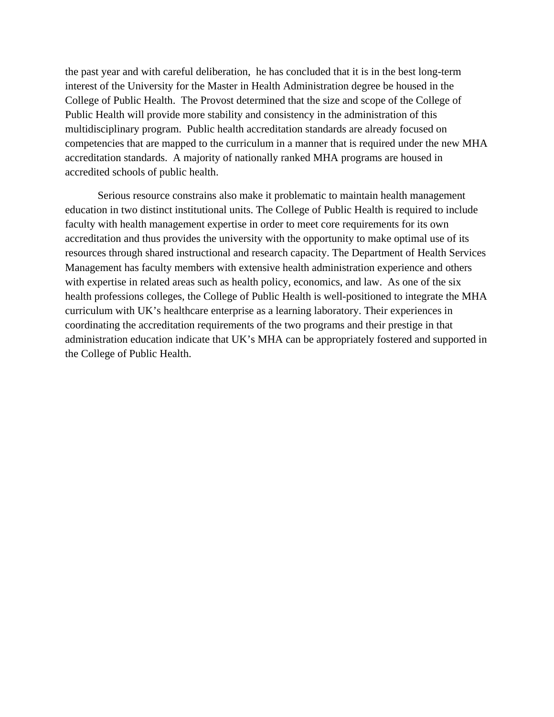the past year and with careful deliberation, he has concluded that it is in the best long-term interest of the University for the Master in Health Administration degree be housed in the College of Public Health. The Provost determined that the size and scope of the College of Public Health will provide more stability and consistency in the administration of this multidisciplinary program. Public health accreditation standards are already focused on competencies that are mapped to the curriculum in a manner that is required under the new MHA accreditation standards. A majority of nationally ranked MHA programs are housed in accredited schools of public health.

 Serious resource constrains also make it problematic to maintain health management education in two distinct institutional units. The College of Public Health is required to include faculty with health management expertise in order to meet core requirements for its own accreditation and thus provides the university with the opportunity to make optimal use of its resources through shared instructional and research capacity. The Department of Health Services Management has faculty members with extensive health administration experience and others with expertise in related areas such as health policy, economics, and law. As one of the six health professions colleges, the College of Public Health is well-positioned to integrate the MHA curriculum with UK's healthcare enterprise as a learning laboratory. Their experiences in coordinating the accreditation requirements of the two programs and their prestige in that administration education indicate that UK's MHA can be appropriately fostered and supported in the College of Public Health.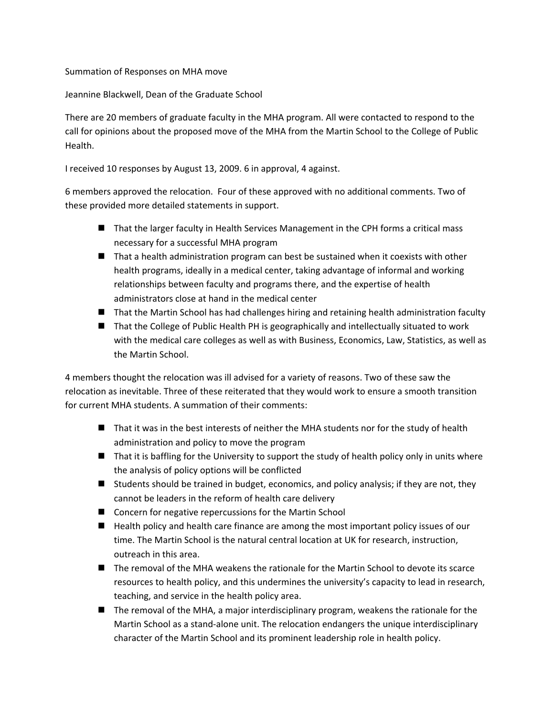Summation of Responses on MHA move

Jeannine Blackwell, Dean of the Graduate School

There are 20 members of graduate faculty in the MHA program. All were contacted to respond to the call for opinions about the proposed move of the MHA from the Martin School to the College of Public Health.

I received 10 responses by August 13, 2009. 6 in approval, 4 against.

6 members approved the relocation. Four of these approved with no additional comments. Two of these provided more detailed statements in support.

- That the larger faculty in Health Services Management in the CPH forms a critical mass necessary for a successful MHA program
- That a health administration program can best be sustained when it coexists with other health programs, ideally in a medical center, taking advantage of informal and working relationships between faculty and programs there, and the expertise of health administrators close at hand in the medical center
- That the Martin School has had challenges hiring and retaining health administration faculty
- That the College of Public Health PH is geographically and intellectually situated to work with the medical care colleges as well as with Business, Economics, Law, Statistics, as well as the Martin School.

4 members thought the relocation was ill advised for a variety of reasons. Two of these saw the relocation as inevitable. Three of these reiterated that they would work to ensure a smooth transition for current MHA students. A summation of their comments:

- That it was in the best interests of neither the MHA students nor for the study of health administration and policy to move the program
- $\blacksquare$  That it is baffling for the University to support the study of health policy only in units where the analysis of policy options will be conflicted
- Students should be trained in budget, economics, and policy analysis; if they are not, they cannot be leaders in the reform of health care delivery
- Concern for negative repercussions for the Martin School
- Health policy and health care finance are among the most important policy issues of our time. The Martin School is the natural central location at UK for research, instruction, outreach in this area.
- The removal of the MHA weakens the rationale for the Martin School to devote its scarce resources to health policy, and this undermines the university's capacity to lead in research, teaching, and service in the health policy area.
- The removal of the MHA, a major interdisciplinary program, weakens the rationale for the Martin School as a stand‐alone unit. The relocation endangers the unique interdisciplinary character of the Martin School and its prominent leadership role in health policy.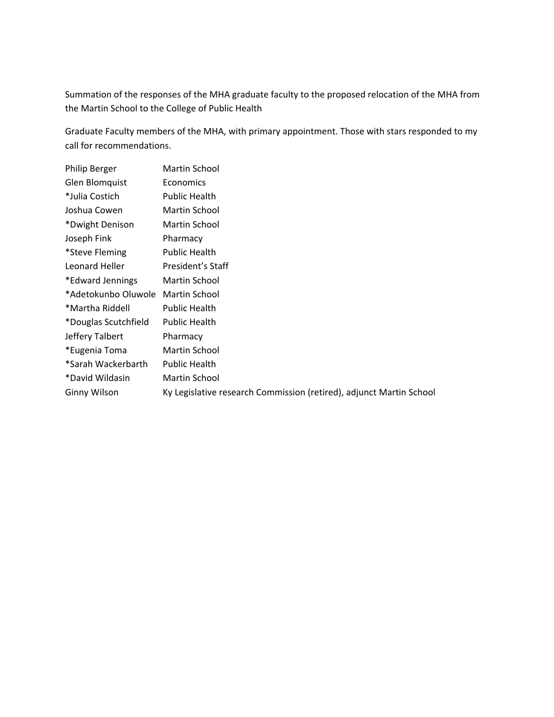Summation of the responses of the MHA graduate faculty to the proposed relocation of the MHA from the Martin School to the College of Public Health

Graduate Faculty members of the MHA, with primary appointment. Those with stars responded to my call for recommendations.

| <b>Philip Berger</b> | Martin School                                                       |
|----------------------|---------------------------------------------------------------------|
| Glen Blomquist       | <b>Economics</b>                                                    |
| *Julia Costich       | <b>Public Health</b>                                                |
| Joshua Cowen         | Martin School                                                       |
| *Dwight Denison      | Martin School                                                       |
| Joseph Fink          | Pharmacy                                                            |
| *Steve Fleming       | <b>Public Health</b>                                                |
| Leonard Heller       | President's Staff                                                   |
| *Edward Jennings     | Martin School                                                       |
| *Adetokunbo Oluwole  | Martin School                                                       |
| *Martha Riddell      | <b>Public Health</b>                                                |
| *Douglas Scutchfield | <b>Public Health</b>                                                |
| Jeffery Talbert      | Pharmacy                                                            |
| *Eugenia Toma        | Martin School                                                       |
| *Sarah Wackerbarth   | <b>Public Health</b>                                                |
| *David Wildasin      | Martin School                                                       |
| <b>Ginny Wilson</b>  | Ky Legislative research Commission (retired), adjunct Martin School |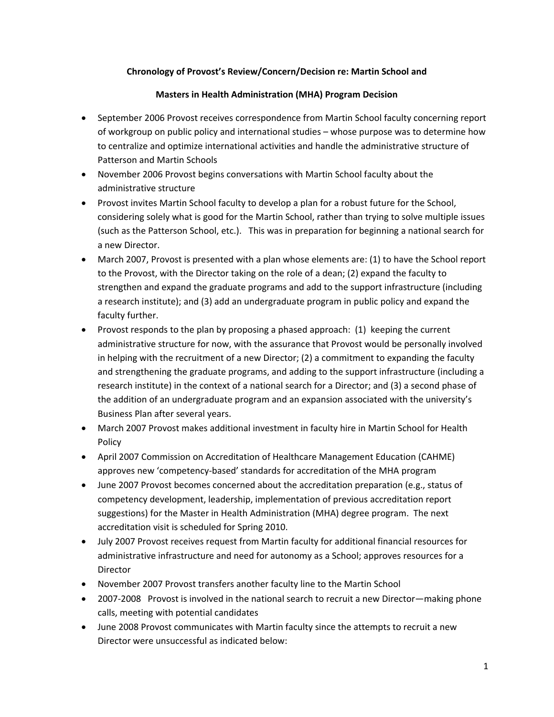## **Chronology of Provost's Review/Concern/Decision re: Martin School and**

## **Masters in Health Administration (MHA) Program Decision**

- September 2006 Provost receives correspondence from Martin School faculty concerning report of workgroup on public policy and international studies – whose purpose was to determine how to centralize and optimize international activities and handle the administrative structure of Patterson and Martin Schools
- November 2006 Provost begins conversations with Martin School faculty about the administrative structure
- Provost invites Martin School faculty to develop a plan for a robust future for the School, considering solely what is good for the Martin School, rather than trying to solve multiple issues (such as the Patterson School, etc.). This was in preparation for beginning a national search for a new Director.
- March 2007, Provost is presented with a plan whose elements are: (1) to have the School report to the Provost, with the Director taking on the role of a dean; (2) expand the faculty to strengthen and expand the graduate programs and add to the support infrastructure (including a research institute); and (3) add an undergraduate program in public policy and expand the faculty further.
- Provost responds to the plan by proposing a phased approach: (1) keeping the current administrative structure for now, with the assurance that Provost would be personally involved in helping with the recruitment of a new Director; (2) a commitment to expanding the faculty and strengthening the graduate programs, and adding to the support infrastructure (including a research institute) in the context of a national search for a Director; and (3) a second phase of the addition of an undergraduate program and an expansion associated with the university's Business Plan after several years.
- March 2007 Provost makes additional investment in faculty hire in Martin School for Health Policy
- April 2007 Commission on Accreditation of Healthcare Management Education (CAHME) approves new 'competency‐based' standards for accreditation of the MHA program
- June 2007 Provost becomes concerned about the accreditation preparation (e.g., status of competency development, leadership, implementation of previous accreditation report suggestions) for the Master in Health Administration (MHA) degree program. The next accreditation visit is scheduled for Spring 2010.
- July 2007 Provost receives request from Martin faculty for additional financial resources for administrative infrastructure and need for autonomy as a School; approves resources for a Director
- November 2007 Provost transfers another faculty line to the Martin School
- 2007-2008 Provost is involved in the national search to recruit a new Director—making phone calls, meeting with potential candidates
- June 2008 Provost communicates with Martin faculty since the attempts to recruit a new Director were unsuccessful as indicated below: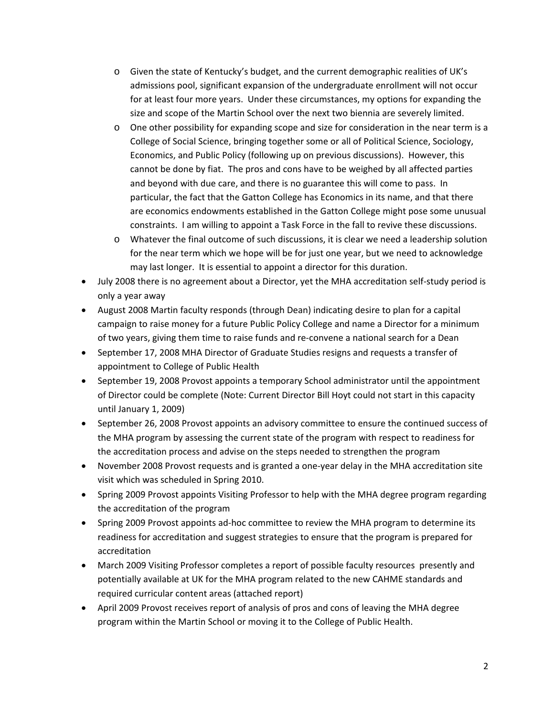- o Given the state of Kentucky's budget, and the current demographic realities of UK's admissions pool, significant expansion of the undergraduate enrollment will not occur for at least four more years. Under these circumstances, my options for expanding the size and scope of the Martin School over the next two biennia are severely limited.
- o One other possibility for expanding scope and size for consideration in the near term is a College of Social Science, bringing together some or all of Political Science, Sociology, Economics, and Public Policy (following up on previous discussions). However, this cannot be done by fiat. The pros and cons have to be weighed by all affected parties and beyond with due care, and there is no guarantee this will come to pass. In particular, the fact that the Gatton College has Economics in its name, and that there are economics endowments established in the Gatton College might pose some unusual constraints. I am willing to appoint a Task Force in the fall to revive these discussions.
- o Whatever the final outcome of such discussions, it is clear we need a leadership solution for the near term which we hope will be for just one year, but we need to acknowledge may last longer. It is essential to appoint a director for this duration.
- July 2008 there is no agreement about a Director, yet the MHA accreditation self‐study period is only a year away
- August 2008 Martin faculty responds (through Dean) indicating desire to plan for a capital campaign to raise money for a future Public Policy College and name a Director for a minimum of two years, giving them time to raise funds and re‐convene a national search for a Dean
- September 17, 2008 MHA Director of Graduate Studies resigns and requests a transfer of appointment to College of Public Health
- September 19, 2008 Provost appoints a temporary School administrator until the appointment of Director could be complete (Note: Current Director Bill Hoyt could not start in this capacity until January 1, 2009)
- September 26, 2008 Provost appoints an advisory committee to ensure the continued success of the MHA program by assessing the current state of the program with respect to readiness for the accreditation process and advise on the steps needed to strengthen the program
- November 2008 Provost requests and is granted a one‐year delay in the MHA accreditation site visit which was scheduled in Spring 2010.
- Spring 2009 Provost appoints Visiting Professor to help with the MHA degree program regarding the accreditation of the program
- Spring 2009 Provost appoints ad-hoc committee to review the MHA program to determine its readiness for accreditation and suggest strategies to ensure that the program is prepared for accreditation
- March 2009 Visiting Professor completes a report of possible faculty resources presently and potentially available at UK for the MHA program related to the new CAHME standards and required curricular content areas (attached report)
- April 2009 Provost receives report of analysis of pros and cons of leaving the MHA degree program within the Martin School or moving it to the College of Public Health.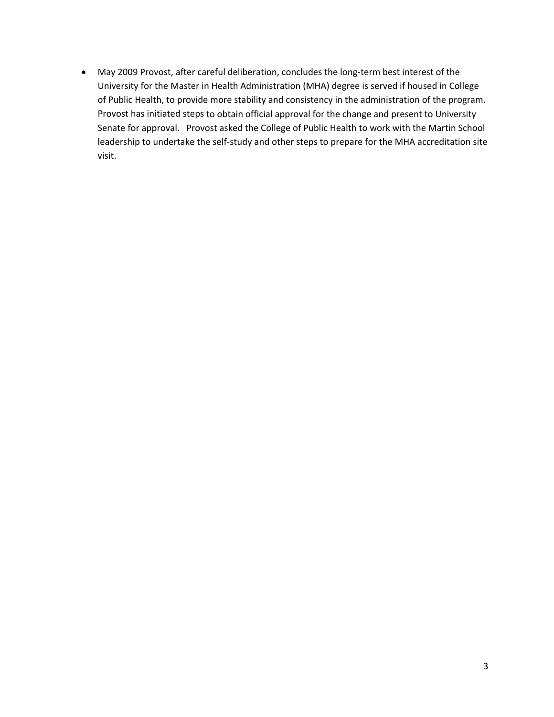• May 2009 Provost, after careful deliberation, concludes the long‐term best interest of the University for the Master in Health Administration (MHA) degree is served if housed in College of Public Health, to provide more stability and consistency in the administration of the program. Provost has initiated steps to obtain official approval for the change and present to University Senate for approval. Provost asked the College of Public Health to work with the Martin School leadership to undertake the self‐study and other steps to prepare for the MHA accreditation site visit.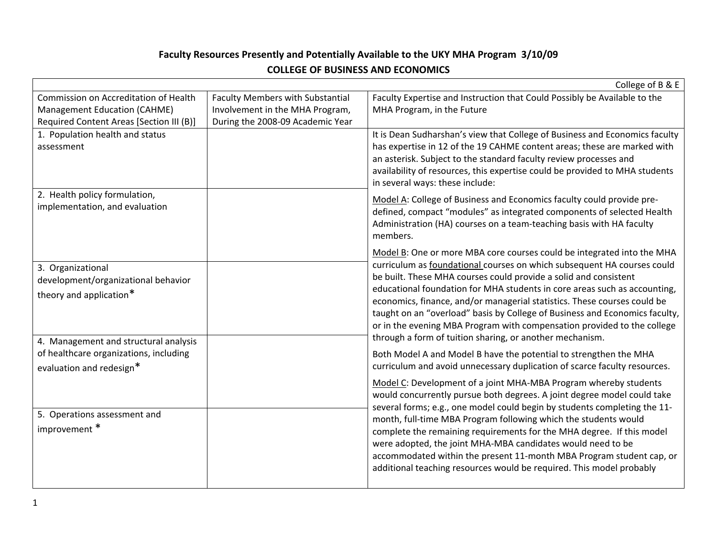## **Faculty Resources Presently and Potentially Available to the UKY MHA Program 3/10/09 COLLEGE OF BUSINESS AND ECONOMICS**

|                                                                                                                              |                                                                                                                | College of B & E                                                                                                                                                                                                                                                                                                                                                                                                                                                                                                                                                                                     |
|------------------------------------------------------------------------------------------------------------------------------|----------------------------------------------------------------------------------------------------------------|------------------------------------------------------------------------------------------------------------------------------------------------------------------------------------------------------------------------------------------------------------------------------------------------------------------------------------------------------------------------------------------------------------------------------------------------------------------------------------------------------------------------------------------------------------------------------------------------------|
| Commission on Accreditation of Health<br>Management Education (CAHME)<br>Required Content Areas [Section III (B)]            | <b>Faculty Members with Substantial</b><br>Involvement in the MHA Program,<br>During the 2008-09 Academic Year | Faculty Expertise and Instruction that Could Possibly be Available to the<br>MHA Program, in the Future                                                                                                                                                                                                                                                                                                                                                                                                                                                                                              |
| 1. Population health and status<br>assessment                                                                                |                                                                                                                | It is Dean Sudharshan's view that College of Business and Economics faculty<br>has expertise in 12 of the 19 CAHME content areas; these are marked with<br>an asterisk. Subject to the standard faculty review processes and<br>availability of resources, this expertise could be provided to MHA students<br>in several ways: these include:                                                                                                                                                                                                                                                       |
| 2. Health policy formulation,<br>implementation, and evaluation                                                              |                                                                                                                | Model A: College of Business and Economics faculty could provide pre-<br>defined, compact "modules" as integrated components of selected Health<br>Administration (HA) courses on a team-teaching basis with HA faculty<br>members.                                                                                                                                                                                                                                                                                                                                                                  |
| 3. Organizational<br>development/organizational behavior<br>theory and application*<br>4. Management and structural analysis |                                                                                                                | Model B: One or more MBA core courses could be integrated into the MHA<br>curriculum as foundational courses on which subsequent HA courses could<br>be built. These MHA courses could provide a solid and consistent<br>educational foundation for MHA students in core areas such as accounting,<br>economics, finance, and/or managerial statistics. These courses could be<br>taught on an "overload" basis by College of Business and Economics faculty,<br>or in the evening MBA Program with compensation provided to the college<br>through a form of tuition sharing, or another mechanism. |
| of healthcare organizations, including<br>evaluation and redesign*                                                           |                                                                                                                | Both Model A and Model B have the potential to strengthen the MHA<br>curriculum and avoid unnecessary duplication of scarce faculty resources.                                                                                                                                                                                                                                                                                                                                                                                                                                                       |
| 5. Operations assessment and<br>improvement *                                                                                |                                                                                                                | Model C: Development of a joint MHA-MBA Program whereby students<br>would concurrently pursue both degrees. A joint degree model could take<br>several forms; e.g., one model could begin by students completing the 11-<br>month, full-time MBA Program following which the students would<br>complete the remaining requirements for the MHA degree. If this model                                                                                                                                                                                                                                 |
|                                                                                                                              |                                                                                                                | were adopted, the joint MHA-MBA candidates would need to be<br>accommodated within the present 11-month MBA Program student cap, or<br>additional teaching resources would be required. This model probably                                                                                                                                                                                                                                                                                                                                                                                          |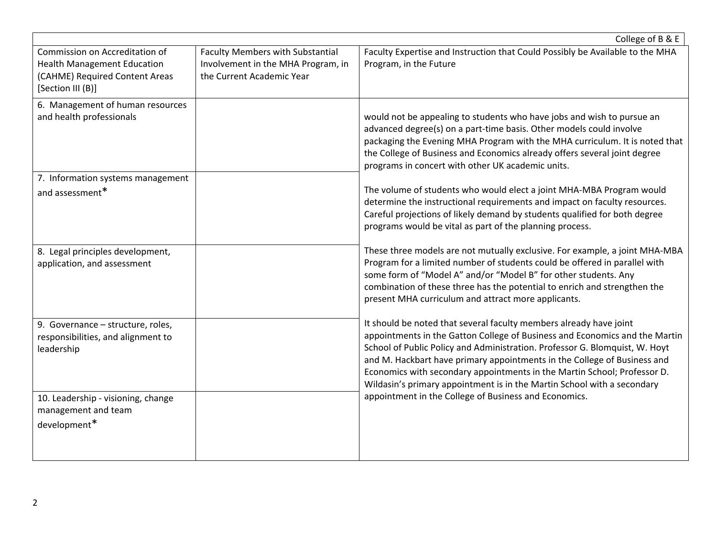|                                                                                                                             |                                                                                                            | College of B & E                                                                                                                                                                                                                                                                                                                                                                                                                                                    |
|-----------------------------------------------------------------------------------------------------------------------------|------------------------------------------------------------------------------------------------------------|---------------------------------------------------------------------------------------------------------------------------------------------------------------------------------------------------------------------------------------------------------------------------------------------------------------------------------------------------------------------------------------------------------------------------------------------------------------------|
| Commission on Accreditation of<br><b>Health Management Education</b><br>(CAHME) Required Content Areas<br>[Section III (B)] | <b>Faculty Members with Substantial</b><br>Involvement in the MHA Program, in<br>the Current Academic Year | Faculty Expertise and Instruction that Could Possibly be Available to the MHA<br>Program, in the Future                                                                                                                                                                                                                                                                                                                                                             |
| 6. Management of human resources<br>and health professionals                                                                |                                                                                                            | would not be appealing to students who have jobs and wish to pursue an<br>advanced degree(s) on a part-time basis. Other models could involve<br>packaging the Evening MHA Program with the MHA curriculum. It is noted that<br>the College of Business and Economics already offers several joint degree<br>programs in concert with other UK academic units.                                                                                                      |
| 7. Information systems management<br>and assessment*                                                                        |                                                                                                            | The volume of students who would elect a joint MHA-MBA Program would<br>determine the instructional requirements and impact on faculty resources.<br>Careful projections of likely demand by students qualified for both degree<br>programs would be vital as part of the planning process.                                                                                                                                                                         |
| 8. Legal principles development,<br>application, and assessment                                                             |                                                                                                            | These three models are not mutually exclusive. For example, a joint MHA-MBA<br>Program for a limited number of students could be offered in parallel with<br>some form of "Model A" and/or "Model B" for other students. Any<br>combination of these three has the potential to enrich and strengthen the<br>present MHA curriculum and attract more applicants.                                                                                                    |
| 9. Governance - structure, roles,<br>responsibilities, and alignment to<br>leadership                                       |                                                                                                            | It should be noted that several faculty members already have joint<br>appointments in the Gatton College of Business and Economics and the Martin<br>School of Public Policy and Administration. Professor G. Blomquist, W. Hoyt<br>and M. Hackbart have primary appointments in the College of Business and<br>Economics with secondary appointments in the Martin School; Professor D.<br>Wildasin's primary appointment is in the Martin School with a secondary |
| 10. Leadership - visioning, change<br>management and team<br>development*                                                   |                                                                                                            | appointment in the College of Business and Economics.                                                                                                                                                                                                                                                                                                                                                                                                               |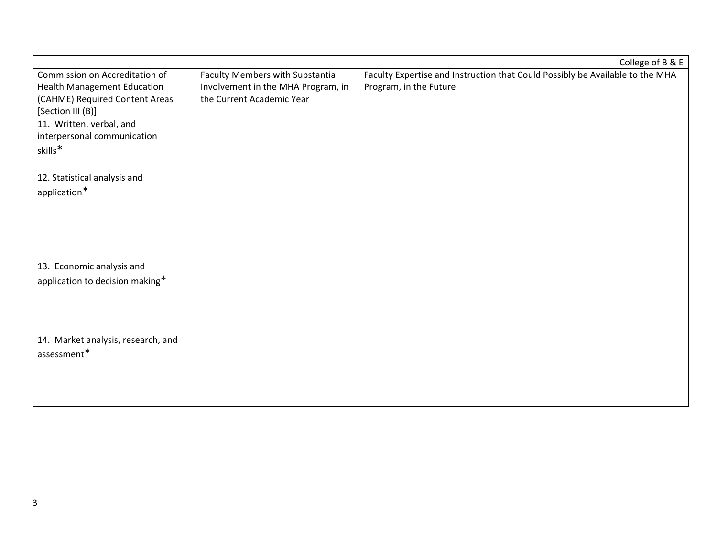|                                                                                                                             |                                                                                                            | College of B & E                                                                                        |
|-----------------------------------------------------------------------------------------------------------------------------|------------------------------------------------------------------------------------------------------------|---------------------------------------------------------------------------------------------------------|
| Commission on Accreditation of<br><b>Health Management Education</b><br>(CAHME) Required Content Areas<br>[Section III (B)] | <b>Faculty Members with Substantial</b><br>Involvement in the MHA Program, in<br>the Current Academic Year | Faculty Expertise and Instruction that Could Possibly be Available to the MHA<br>Program, in the Future |
| 11. Written, verbal, and<br>interpersonal communication<br>$skills^*$                                                       |                                                                                                            |                                                                                                         |
| 12. Statistical analysis and<br>application*                                                                                |                                                                                                            |                                                                                                         |
| 13. Economic analysis and<br>application to decision making*                                                                |                                                                                                            |                                                                                                         |
| 14. Market analysis, research, and<br>assessment*                                                                           |                                                                                                            |                                                                                                         |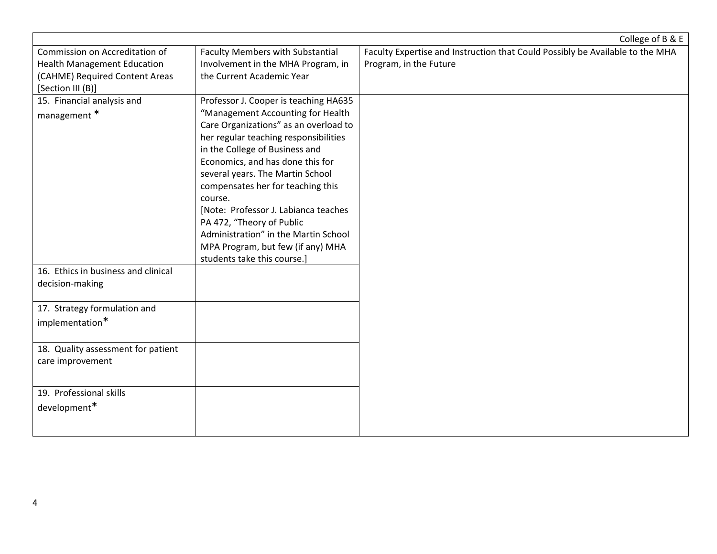| Commission on Accreditation of      | <b>Faculty Members with Substantial</b> | Faculty Expertise and Instruction that Could Possibly be Available to the MHA |
|-------------------------------------|-----------------------------------------|-------------------------------------------------------------------------------|
| <b>Health Management Education</b>  | Involvement in the MHA Program, in      | Program, in the Future                                                        |
| (CAHME) Required Content Areas      | the Current Academic Year               |                                                                               |
| [Section III (B)]                   |                                         |                                                                               |
| 15. Financial analysis and          | Professor J. Cooper is teaching HA635   |                                                                               |
| management*                         | "Management Accounting for Health       |                                                                               |
|                                     | Care Organizations" as an overload to   |                                                                               |
|                                     | her regular teaching responsibilities   |                                                                               |
|                                     | in the College of Business and          |                                                                               |
|                                     | Economics, and has done this for        |                                                                               |
|                                     | several years. The Martin School        |                                                                               |
|                                     | compensates her for teaching this       |                                                                               |
|                                     | course.                                 |                                                                               |
|                                     | [Note: Professor J. Labianca teaches    |                                                                               |
|                                     | PA 472, "Theory of Public               |                                                                               |
|                                     | Administration" in the Martin School    |                                                                               |
|                                     | MPA Program, but few (if any) MHA       |                                                                               |
|                                     | students take this course.]             |                                                                               |
| 16. Ethics in business and clinical |                                         |                                                                               |
| decision-making                     |                                         |                                                                               |
| 17. Strategy formulation and        |                                         |                                                                               |
| implementation*                     |                                         |                                                                               |
| 18. Quality assessment for patient  |                                         |                                                                               |
| care improvement                    |                                         |                                                                               |
| 19. Professional skills             |                                         |                                                                               |
| development*                        |                                         |                                                                               |
|                                     |                                         |                                                                               |
|                                     |                                         |                                                                               |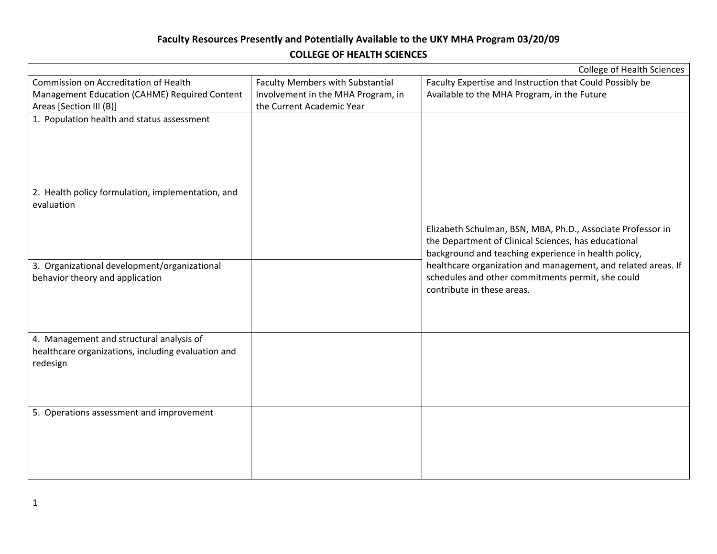## **Faculty Resources Presently and Potentially Available to the UKY MHA Program 03/20/09 COLLEGE OF HEALTH SCIENCES**

|                                                                 |                                         | <b>College of Health Sciences</b>                             |
|-----------------------------------------------------------------|-----------------------------------------|---------------------------------------------------------------|
| Commission on Accreditation of Health                           | <b>Faculty Members with Substantial</b> | Faculty Expertise and Instruction that Could Possibly be      |
| Management Education (CAHME) Required Content                   | Involvement in the MHA Program, in      | Available to the MHA Program, in the Future                   |
| Areas [Section III (B)]                                         | the Current Academic Year               |                                                               |
| 1. Population health and status assessment                      |                                         |                                                               |
|                                                                 |                                         |                                                               |
|                                                                 |                                         |                                                               |
|                                                                 |                                         |                                                               |
|                                                                 |                                         |                                                               |
|                                                                 |                                         |                                                               |
| 2. Health policy formulation, implementation, and<br>evaluation |                                         |                                                               |
|                                                                 |                                         |                                                               |
|                                                                 |                                         | Elizabeth Schulman, BSN, MBA, Ph.D., Associate Professor in   |
|                                                                 |                                         | the Department of Clinical Sciences, has educational          |
|                                                                 |                                         | background and teaching experience in health policy,          |
| 3. Organizational development/organizational                    |                                         | healthcare organization and management, and related areas. If |
| behavior theory and application                                 |                                         | schedules and other commitments permit, she could             |
|                                                                 |                                         | contribute in these areas.                                    |
|                                                                 |                                         |                                                               |
|                                                                 |                                         |                                                               |
|                                                                 |                                         |                                                               |
| 4. Management and structural analysis of                        |                                         |                                                               |
| healthcare organizations, including evaluation and              |                                         |                                                               |
| redesign                                                        |                                         |                                                               |
|                                                                 |                                         |                                                               |
|                                                                 |                                         |                                                               |
| 5. Operations assessment and improvement                        |                                         |                                                               |
|                                                                 |                                         |                                                               |
|                                                                 |                                         |                                                               |
|                                                                 |                                         |                                                               |
|                                                                 |                                         |                                                               |
|                                                                 |                                         |                                                               |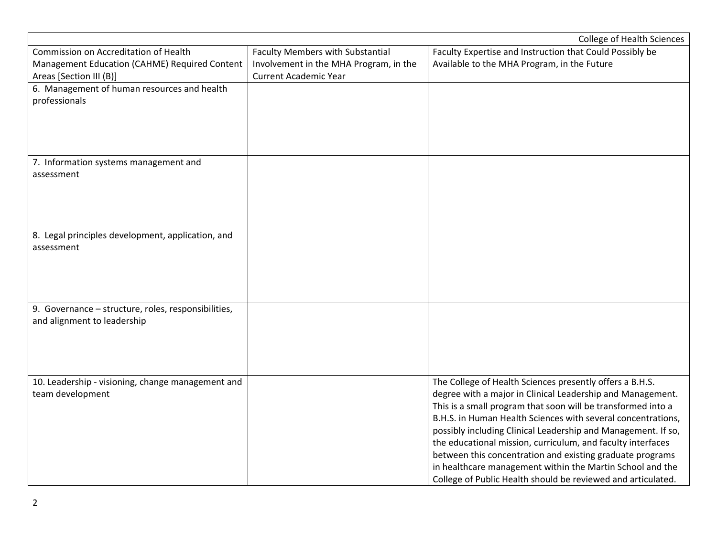|                                                     |                                         | College of Health Sciences                                                                                                   |
|-----------------------------------------------------|-----------------------------------------|------------------------------------------------------------------------------------------------------------------------------|
| Commission on Accreditation of Health               | <b>Faculty Members with Substantial</b> | Faculty Expertise and Instruction that Could Possibly be                                                                     |
| Management Education (CAHME) Required Content       | Involvement in the MHA Program, in the  | Available to the MHA Program, in the Future                                                                                  |
| Areas [Section III (B)]                             | <b>Current Academic Year</b>            |                                                                                                                              |
| 6. Management of human resources and health         |                                         |                                                                                                                              |
| professionals                                       |                                         |                                                                                                                              |
|                                                     |                                         |                                                                                                                              |
|                                                     |                                         |                                                                                                                              |
|                                                     |                                         |                                                                                                                              |
|                                                     |                                         |                                                                                                                              |
| 7. Information systems management and               |                                         |                                                                                                                              |
| assessment                                          |                                         |                                                                                                                              |
|                                                     |                                         |                                                                                                                              |
|                                                     |                                         |                                                                                                                              |
|                                                     |                                         |                                                                                                                              |
| 8. Legal principles development, application, and   |                                         |                                                                                                                              |
| assessment                                          |                                         |                                                                                                                              |
|                                                     |                                         |                                                                                                                              |
|                                                     |                                         |                                                                                                                              |
|                                                     |                                         |                                                                                                                              |
|                                                     |                                         |                                                                                                                              |
| 9. Governance - structure, roles, responsibilities, |                                         |                                                                                                                              |
| and alignment to leadership                         |                                         |                                                                                                                              |
|                                                     |                                         |                                                                                                                              |
|                                                     |                                         |                                                                                                                              |
|                                                     |                                         |                                                                                                                              |
|                                                     |                                         |                                                                                                                              |
| 10. Leadership - visioning, change management and   |                                         | The College of Health Sciences presently offers a B.H.S.                                                                     |
| team development                                    |                                         | degree with a major in Clinical Leadership and Management.                                                                   |
|                                                     |                                         | This is a small program that soon will be transformed into a<br>B.H.S. in Human Health Sciences with several concentrations, |
|                                                     |                                         | possibly including Clinical Leadership and Management. If so,                                                                |
|                                                     |                                         | the educational mission, curriculum, and faculty interfaces                                                                  |
|                                                     |                                         | between this concentration and existing graduate programs                                                                    |
|                                                     |                                         | in healthcare management within the Martin School and the                                                                    |
|                                                     |                                         | College of Public Health should be reviewed and articulated.                                                                 |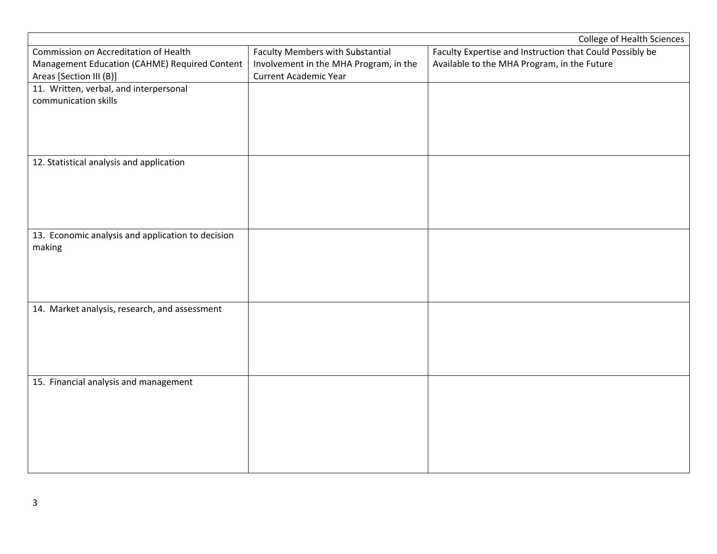|                                                   |                                         | College of Health Sciences                               |
|---------------------------------------------------|-----------------------------------------|----------------------------------------------------------|
| Commission on Accreditation of Health             | <b>Faculty Members with Substantial</b> | Faculty Expertise and Instruction that Could Possibly be |
| Management Education (CAHME) Required Content     | Involvement in the MHA Program, in the  | Available to the MHA Program, in the Future              |
| Areas [Section III (B)]                           | <b>Current Academic Year</b>            |                                                          |
| 11. Written, verbal, and interpersonal            |                                         |                                                          |
| communication skills                              |                                         |                                                          |
|                                                   |                                         |                                                          |
|                                                   |                                         |                                                          |
|                                                   |                                         |                                                          |
|                                                   |                                         |                                                          |
| 12. Statistical analysis and application          |                                         |                                                          |
|                                                   |                                         |                                                          |
|                                                   |                                         |                                                          |
|                                                   |                                         |                                                          |
|                                                   |                                         |                                                          |
|                                                   |                                         |                                                          |
| 13. Economic analysis and application to decision |                                         |                                                          |
| making                                            |                                         |                                                          |
|                                                   |                                         |                                                          |
|                                                   |                                         |                                                          |
|                                                   |                                         |                                                          |
| 14. Market analysis, research, and assessment     |                                         |                                                          |
|                                                   |                                         |                                                          |
|                                                   |                                         |                                                          |
|                                                   |                                         |                                                          |
|                                                   |                                         |                                                          |
|                                                   |                                         |                                                          |
| 15. Financial analysis and management             |                                         |                                                          |
|                                                   |                                         |                                                          |
|                                                   |                                         |                                                          |
|                                                   |                                         |                                                          |
|                                                   |                                         |                                                          |
|                                                   |                                         |                                                          |
|                                                   |                                         |                                                          |
|                                                   |                                         |                                                          |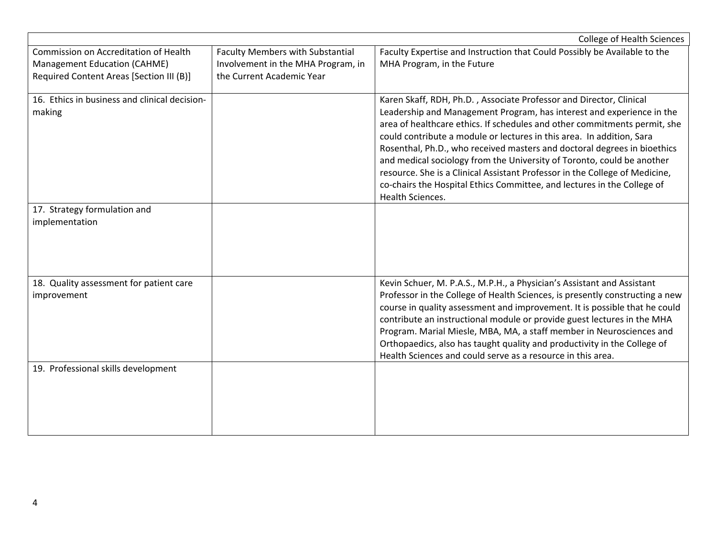|                                                         |                                         | <b>College of Health Sciences</b>                                                                                                                                                                                                                                                                                                                                                                                                                                                                                                                                                                                                      |
|---------------------------------------------------------|-----------------------------------------|----------------------------------------------------------------------------------------------------------------------------------------------------------------------------------------------------------------------------------------------------------------------------------------------------------------------------------------------------------------------------------------------------------------------------------------------------------------------------------------------------------------------------------------------------------------------------------------------------------------------------------------|
| Commission on Accreditation of Health                   | <b>Faculty Members with Substantial</b> | Faculty Expertise and Instruction that Could Possibly be Available to the                                                                                                                                                                                                                                                                                                                                                                                                                                                                                                                                                              |
| Management Education (CAHME)                            | Involvement in the MHA Program, in      | MHA Program, in the Future                                                                                                                                                                                                                                                                                                                                                                                                                                                                                                                                                                                                             |
| Required Content Areas [Section III (B)]                | the Current Academic Year               |                                                                                                                                                                                                                                                                                                                                                                                                                                                                                                                                                                                                                                        |
| 16. Ethics in business and clinical decision-<br>making |                                         | Karen Skaff, RDH, Ph.D., Associate Professor and Director, Clinical<br>Leadership and Management Program, has interest and experience in the<br>area of healthcare ethics. If schedules and other commitments permit, she<br>could contribute a module or lectures in this area. In addition, Sara<br>Rosenthal, Ph.D., who received masters and doctoral degrees in bioethics<br>and medical sociology from the University of Toronto, could be another<br>resource. She is a Clinical Assistant Professor in the College of Medicine,<br>co-chairs the Hospital Ethics Committee, and lectures in the College of<br>Health Sciences. |
| 17. Strategy formulation and<br>implementation          |                                         |                                                                                                                                                                                                                                                                                                                                                                                                                                                                                                                                                                                                                                        |
| 18. Quality assessment for patient care<br>improvement  |                                         | Kevin Schuer, M. P.A.S., M.P.H., a Physician's Assistant and Assistant<br>Professor in the College of Health Sciences, is presently constructing a new<br>course in quality assessment and improvement. It is possible that he could<br>contribute an instructional module or provide guest lectures in the MHA<br>Program. Marial Miesle, MBA, MA, a staff member in Neurosciences and<br>Orthopaedics, also has taught quality and productivity in the College of<br>Health Sciences and could serve as a resource in this area.                                                                                                     |
| 19. Professional skills development                     |                                         |                                                                                                                                                                                                                                                                                                                                                                                                                                                                                                                                                                                                                                        |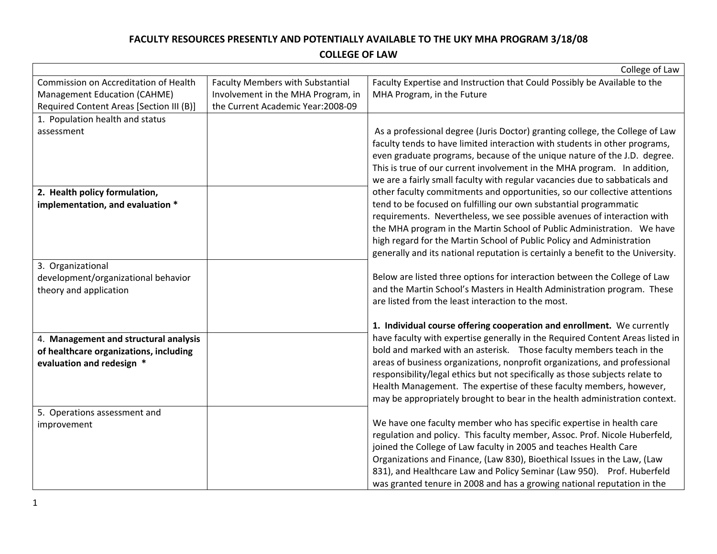### **FACULTY RESOURCES PRESENTLY AND POTENTIALLY AVAILABLE TO THE UKY MHA PROGRAM 3/18/08**

**COLLEGE OF LAW**

|                                                                                                              |                                         | College of Law                                                                                                                                                                                                                                                                                                                                                                                                                                                           |
|--------------------------------------------------------------------------------------------------------------|-----------------------------------------|--------------------------------------------------------------------------------------------------------------------------------------------------------------------------------------------------------------------------------------------------------------------------------------------------------------------------------------------------------------------------------------------------------------------------------------------------------------------------|
| Commission on Accreditation of Health                                                                        | <b>Faculty Members with Substantial</b> | Faculty Expertise and Instruction that Could Possibly be Available to the                                                                                                                                                                                                                                                                                                                                                                                                |
| Management Education (CAHME)                                                                                 | Involvement in the MHA Program, in      | MHA Program, in the Future                                                                                                                                                                                                                                                                                                                                                                                                                                               |
| Required Content Areas [Section III (B)]                                                                     | the Current Academic Year:2008-09       |                                                                                                                                                                                                                                                                                                                                                                                                                                                                          |
| 1. Population health and status                                                                              |                                         |                                                                                                                                                                                                                                                                                                                                                                                                                                                                          |
| assessment                                                                                                   |                                         | As a professional degree (Juris Doctor) granting college, the College of Law<br>faculty tends to have limited interaction with students in other programs,<br>even graduate programs, because of the unique nature of the J.D. degree.<br>This is true of our current involvement in the MHA program. In addition,<br>we are a fairly small faculty with regular vacancies due to sabbaticals and                                                                        |
| 2. Health policy formulation,                                                                                |                                         | other faculty commitments and opportunities, so our collective attentions                                                                                                                                                                                                                                                                                                                                                                                                |
| implementation, and evaluation *                                                                             |                                         | tend to be focused on fulfilling our own substantial programmatic<br>requirements. Nevertheless, we see possible avenues of interaction with<br>the MHA program in the Martin School of Public Administration. We have<br>high regard for the Martin School of Public Policy and Administration<br>generally and its national reputation is certainly a benefit to the University.                                                                                       |
| 3. Organizational                                                                                            |                                         |                                                                                                                                                                                                                                                                                                                                                                                                                                                                          |
| development/organizational behavior<br>theory and application                                                |                                         | Below are listed three options for interaction between the College of Law<br>and the Martin School's Masters in Health Administration program. These<br>are listed from the least interaction to the most.                                                                                                                                                                                                                                                               |
|                                                                                                              |                                         | 1. Individual course offering cooperation and enrollment. We currently                                                                                                                                                                                                                                                                                                                                                                                                   |
| 4. Management and structural analysis<br>of healthcare organizations, including<br>evaluation and redesign * |                                         | have faculty with expertise generally in the Required Content Areas listed in<br>bold and marked with an asterisk. Those faculty members teach in the<br>areas of business organizations, nonprofit organizations, and professional<br>responsibility/legal ethics but not specifically as those subjects relate to<br>Health Management. The expertise of these faculty members, however,<br>may be appropriately brought to bear in the health administration context. |
| 5. Operations assessment and                                                                                 |                                         |                                                                                                                                                                                                                                                                                                                                                                                                                                                                          |
| improvement                                                                                                  |                                         | We have one faculty member who has specific expertise in health care<br>regulation and policy. This faculty member, Assoc. Prof. Nicole Huberfeld,<br>joined the College of Law faculty in 2005 and teaches Health Care<br>Organizations and Finance, (Law 830), Bioethical Issues in the Law, (Law<br>831), and Healthcare Law and Policy Seminar (Law 950). Prof. Huberfeld<br>was granted tenure in 2008 and has a growing national reputation in the                 |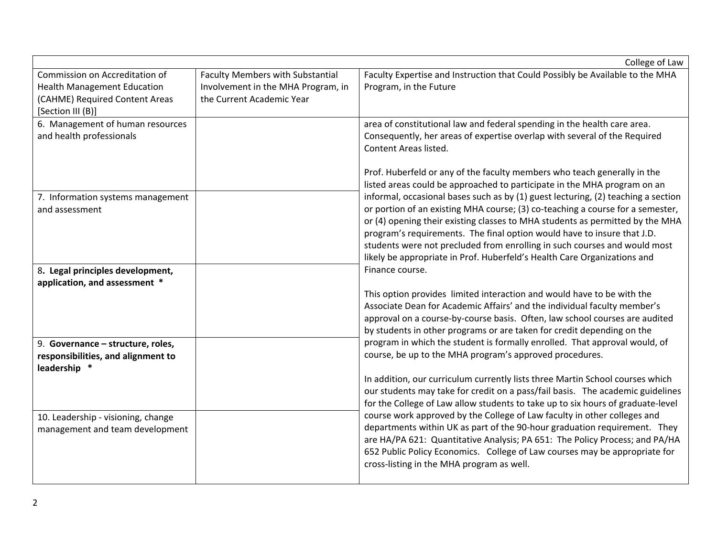|                                                                                                                             |                                                                                                            | College of Law                                                                                                                                                                                                                                                                                                                                                                                                                                                                           |
|-----------------------------------------------------------------------------------------------------------------------------|------------------------------------------------------------------------------------------------------------|------------------------------------------------------------------------------------------------------------------------------------------------------------------------------------------------------------------------------------------------------------------------------------------------------------------------------------------------------------------------------------------------------------------------------------------------------------------------------------------|
| Commission on Accreditation of<br><b>Health Management Education</b><br>(CAHME) Required Content Areas<br>[Section III (B)] | <b>Faculty Members with Substantial</b><br>Involvement in the MHA Program, in<br>the Current Academic Year | Faculty Expertise and Instruction that Could Possibly be Available to the MHA<br>Program, in the Future                                                                                                                                                                                                                                                                                                                                                                                  |
| 6. Management of human resources<br>and health professionals                                                                |                                                                                                            | area of constitutional law and federal spending in the health care area.<br>Consequently, her areas of expertise overlap with several of the Required<br>Content Areas listed.<br>Prof. Huberfeld or any of the faculty members who teach generally in the<br>listed areas could be approached to participate in the MHA program on an                                                                                                                                                   |
| 7. Information systems management<br>and assessment                                                                         |                                                                                                            | informal, occasional bases such as by (1) guest lecturing, (2) teaching a section<br>or portion of an existing MHA course; (3) co-teaching a course for a semester,<br>or (4) opening their existing classes to MHA students as permitted by the MHA<br>program's requirements. The final option would have to insure that J.D.<br>students were not precluded from enrolling in such courses and would most<br>likely be appropriate in Prof. Huberfeld's Health Care Organizations and |
| 8. Legal principles development,<br>application, and assessment *                                                           |                                                                                                            | Finance course.<br>This option provides limited interaction and would have to be with the<br>Associate Dean for Academic Affairs' and the individual faculty member's<br>approval on a course-by-course basis. Often, law school courses are audited<br>by students in other programs or are taken for credit depending on the                                                                                                                                                           |
| 9. Governance - structure, roles,<br>responsibilities, and alignment to<br>leadership *                                     |                                                                                                            | program in which the student is formally enrolled. That approval would, of<br>course, be up to the MHA program's approved procedures.<br>In addition, our curriculum currently lists three Martin School courses which<br>our students may take for credit on a pass/fail basis. The academic guidelines<br>for the College of Law allow students to take up to six hours of graduate-level                                                                                              |
| 10. Leadership - visioning, change<br>management and team development                                                       |                                                                                                            | course work approved by the College of Law faculty in other colleges and<br>departments within UK as part of the 90-hour graduation requirement. They<br>are HA/PA 621: Quantitative Analysis; PA 651: The Policy Process; and PA/HA<br>652 Public Policy Economics. College of Law courses may be appropriate for<br>cross-listing in the MHA program as well.                                                                                                                          |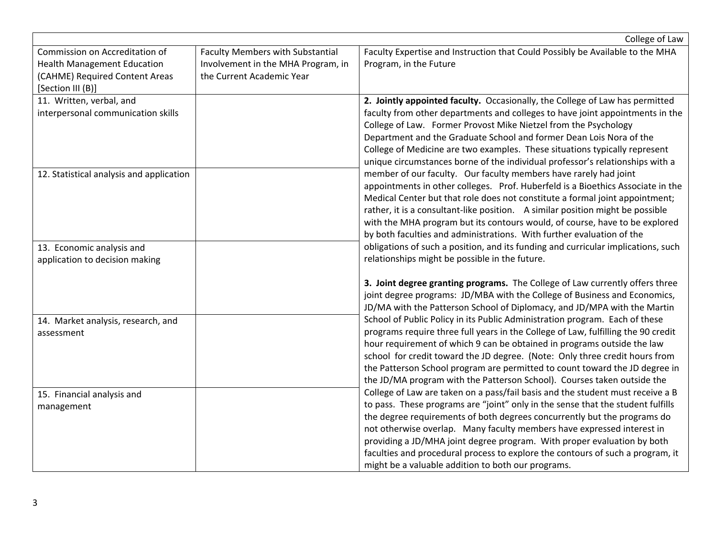|                                                                                                                             |                                                                                                     | College of Law                                                                                                                                                                                                                                                                                                                                                                                                                                                                                                                             |
|-----------------------------------------------------------------------------------------------------------------------------|-----------------------------------------------------------------------------------------------------|--------------------------------------------------------------------------------------------------------------------------------------------------------------------------------------------------------------------------------------------------------------------------------------------------------------------------------------------------------------------------------------------------------------------------------------------------------------------------------------------------------------------------------------------|
| Commission on Accreditation of<br><b>Health Management Education</b><br>(CAHME) Required Content Areas<br>[Section III (B)] | Faculty Members with Substantial<br>Involvement in the MHA Program, in<br>the Current Academic Year | Faculty Expertise and Instruction that Could Possibly be Available to the MHA<br>Program, in the Future                                                                                                                                                                                                                                                                                                                                                                                                                                    |
| 11. Written, verbal, and<br>interpersonal communication skills                                                              |                                                                                                     | 2. Jointly appointed faculty. Occasionally, the College of Law has permitted<br>faculty from other departments and colleges to have joint appointments in the<br>College of Law. Former Provost Mike Nietzel from the Psychology<br>Department and the Graduate School and former Dean Lois Nora of the<br>College of Medicine are two examples. These situations typically represent<br>unique circumstances borne of the individual professor's relationships with a                                                                     |
| 12. Statistical analysis and application                                                                                    |                                                                                                     | member of our faculty. Our faculty members have rarely had joint<br>appointments in other colleges. Prof. Huberfeld is a Bioethics Associate in the<br>Medical Center but that role does not constitute a formal joint appointment;<br>rather, it is a consultant-like position. A similar position might be possible<br>with the MHA program but its contours would, of course, have to be explored<br>by both faculties and administrations. With further evaluation of the                                                              |
| 13. Economic analysis and<br>application to decision making                                                                 |                                                                                                     | obligations of such a position, and its funding and curricular implications, such<br>relationships might be possible in the future.                                                                                                                                                                                                                                                                                                                                                                                                        |
|                                                                                                                             |                                                                                                     | 3. Joint degree granting programs. The College of Law currently offers three<br>joint degree programs: JD/MBA with the College of Business and Economics,<br>JD/MA with the Patterson School of Diplomacy, and JD/MPA with the Martin                                                                                                                                                                                                                                                                                                      |
| 14. Market analysis, research, and<br>assessment                                                                            |                                                                                                     | School of Public Policy in its Public Administration program. Each of these<br>programs require three full years in the College of Law, fulfilling the 90 credit<br>hour requirement of which 9 can be obtained in programs outside the law<br>school for credit toward the JD degree. (Note: Only three credit hours from<br>the Patterson School program are permitted to count toward the JD degree in<br>the JD/MA program with the Patterson School). Courses taken outside the                                                       |
| 15. Financial analysis and<br>management                                                                                    |                                                                                                     | College of Law are taken on a pass/fail basis and the student must receive a B<br>to pass. These programs are "joint" only in the sense that the student fulfills<br>the degree requirements of both degrees concurrently but the programs do<br>not otherwise overlap. Many faculty members have expressed interest in<br>providing a JD/MHA joint degree program. With proper evaluation by both<br>faculties and procedural process to explore the contours of such a program, it<br>might be a valuable addition to both our programs. |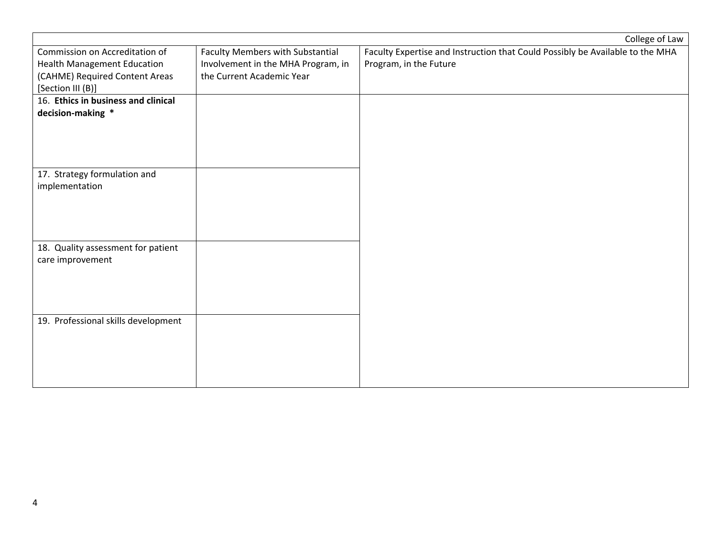|                                     |                                         | College of Law                                                                |
|-------------------------------------|-----------------------------------------|-------------------------------------------------------------------------------|
| Commission on Accreditation of      | <b>Faculty Members with Substantial</b> | Faculty Expertise and Instruction that Could Possibly be Available to the MHA |
| <b>Health Management Education</b>  | Involvement in the MHA Program, in      | Program, in the Future                                                        |
| (CAHME) Required Content Areas      | the Current Academic Year               |                                                                               |
| [Section III (B)]                   |                                         |                                                                               |
| 16. Ethics in business and clinical |                                         |                                                                               |
| decision-making *                   |                                         |                                                                               |
|                                     |                                         |                                                                               |
|                                     |                                         |                                                                               |
|                                     |                                         |                                                                               |
|                                     |                                         |                                                                               |
| 17. Strategy formulation and        |                                         |                                                                               |
| implementation                      |                                         |                                                                               |
|                                     |                                         |                                                                               |
|                                     |                                         |                                                                               |
|                                     |                                         |                                                                               |
| 18. Quality assessment for patient  |                                         |                                                                               |
| care improvement                    |                                         |                                                                               |
|                                     |                                         |                                                                               |
|                                     |                                         |                                                                               |
|                                     |                                         |                                                                               |
|                                     |                                         |                                                                               |
| 19. Professional skills development |                                         |                                                                               |
|                                     |                                         |                                                                               |
|                                     |                                         |                                                                               |
|                                     |                                         |                                                                               |
|                                     |                                         |                                                                               |
|                                     |                                         |                                                                               |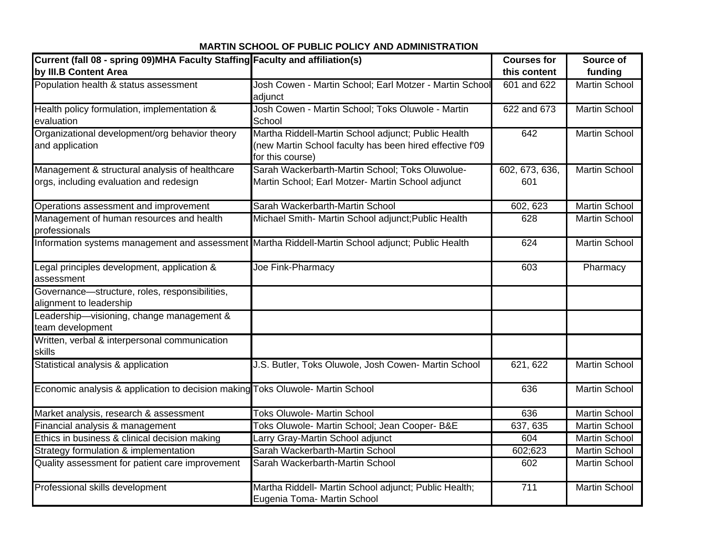| Current (fall 08 - spring 09)MHA Faculty Staffing Faculty and affiliation(s)              |                                                                                                                                     | <b>Courses for</b>    | Source of            |
|-------------------------------------------------------------------------------------------|-------------------------------------------------------------------------------------------------------------------------------------|-----------------------|----------------------|
| by III.B Content Area                                                                     |                                                                                                                                     | this content          | funding              |
| Population health & status assessment                                                     | Josh Cowen - Martin School; Earl Motzer - Martin School<br>adjunct                                                                  | 601 and 622           | <b>Martin School</b> |
| Health policy formulation, implementation &<br>evaluation                                 | Josh Cowen - Martin School; Toks Oluwole - Martin<br>School                                                                         | 622 and 673           | <b>Martin School</b> |
| Organizational development/org behavior theory<br>and application                         | Martha Riddell-Martin School adjunct; Public Health<br>(new Martin School faculty has been hired effective f'09<br>for this course) | 642                   | Martin School        |
| Management & structural analysis of healthcare<br>orgs, including evaluation and redesign | Sarah Wackerbarth-Martin School; Toks Oluwolue-<br>Martin School; Earl Motzer- Martin School adjunct                                | 602, 673, 636,<br>601 | Martin School        |
| Operations assessment and improvement                                                     | Sarah Wackerbarth-Martin School                                                                                                     | 602, 623              | Martin School        |
| Management of human resources and health<br>professionals                                 | Michael Smith- Martin School adjunct; Public Health                                                                                 | 628                   | <b>Martin School</b> |
|                                                                                           | Information systems management and assessment Martha Riddell-Martin School adjunct; Public Health                                   | 624                   | Martin School        |
| Legal principles development, application &<br>assessment                                 | Joe Fink-Pharmacy                                                                                                                   | 603                   | Pharmacy             |
| Governance-structure, roles, responsibilities,<br>alignment to leadership                 |                                                                                                                                     |                       |                      |
| Leadership-visioning, change management &<br>team development                             |                                                                                                                                     |                       |                      |
| Written, verbal & interpersonal communication<br>skills                                   |                                                                                                                                     |                       |                      |
| Statistical analysis & application                                                        | J.S. Butler, Toks Oluwole, Josh Cowen- Martin School                                                                                | 621, 622              | Martin School        |
| Economic analysis & application to decision making Toks Oluwole- Martin School            |                                                                                                                                     | 636                   | Martin School        |
| Market analysis, research & assessment                                                    | <b>Toks Oluwole- Martin School</b>                                                                                                  | 636                   | <b>Martin School</b> |
| Financial analysis & management                                                           | Toks Oluwole- Martin School; Jean Cooper- B&E                                                                                       | 637, 635              | <b>Martin School</b> |
| Ethics in business & clinical decision making                                             | Larry Gray-Martin School adjunct                                                                                                    | 604                   | <b>Martin School</b> |
| Strategy formulation & implementation                                                     | Sarah Wackerbarth-Martin School                                                                                                     | 602;623               | <b>Martin School</b> |
| Quality assessment for patient care improvement                                           | Sarah Wackerbarth-Martin School                                                                                                     | 602                   | <b>Martin School</b> |
| Professional skills development                                                           | Martha Riddell- Martin School adjunct; Public Health;<br>Eugenia Toma- Martin School                                                | 711                   | <b>Martin School</b> |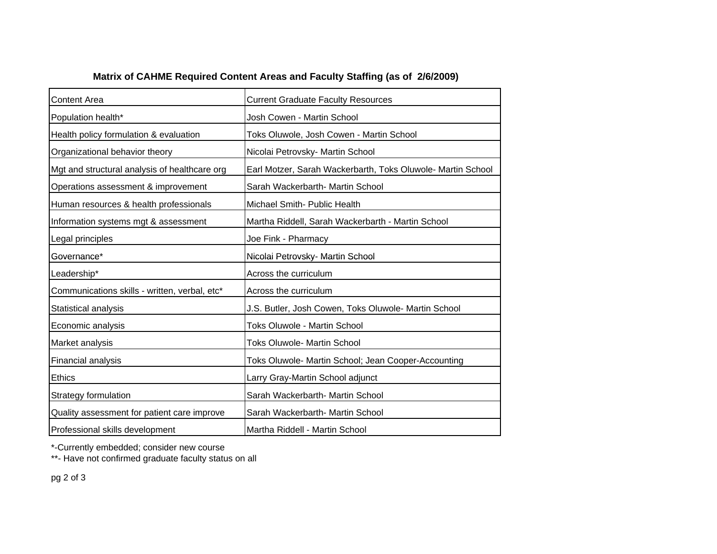| Matrix of CAHME Required Content Areas and Faculty Staffing (as of 2/6/2009) |  |
|------------------------------------------------------------------------------|--|
|------------------------------------------------------------------------------|--|

| <b>Content Area</b>                           | <b>Current Graduate Faculty Resources</b>                   |
|-----------------------------------------------|-------------------------------------------------------------|
| Population health*                            | Josh Cowen - Martin School                                  |
| Health policy formulation & evaluation        | Toks Oluwole, Josh Cowen - Martin School                    |
| Organizational behavior theory                | Nicolai Petrovsky- Martin School                            |
| Mgt and structural analysis of healthcare org | Earl Motzer, Sarah Wackerbarth, Toks Oluwole- Martin School |
| Operations assessment & improvement           | Sarah Wackerbarth- Martin School                            |
| Human resources & health professionals        | Michael Smith- Public Health                                |
| Information systems mgt & assessment          | Martha Riddell, Sarah Wackerbarth - Martin School           |
| Legal principles                              | Joe Fink - Pharmacy                                         |
| Governance*                                   | Nicolai Petrovsky- Martin School                            |
| Leadership*                                   | Across the curriculum                                       |
| Communications skills - written, verbal, etc* | Across the curriculum                                       |
| Statistical analysis                          | J.S. Butler, Josh Cowen, Toks Oluwole- Martin School        |
| Economic analysis                             | Toks Oluwole - Martin School                                |
| Market analysis                               | <b>Toks Oluwole- Martin School</b>                          |
| Financial analysis                            | Toks Oluwole- Martin School; Jean Cooper-Accounting         |
| <b>Ethics</b>                                 | Larry Gray-Martin School adjunct                            |
| Strategy formulation                          | Sarah Wackerbarth- Martin School                            |
| Quality assessment for patient care improve   | Sarah Wackerbarth- Martin School                            |
| Professional skills development               | Martha Riddell - Martin School                              |

\*-Currently embedded; consider new course

\*\*- Have not confirmed graduate faculty status on all

pg 2 of 3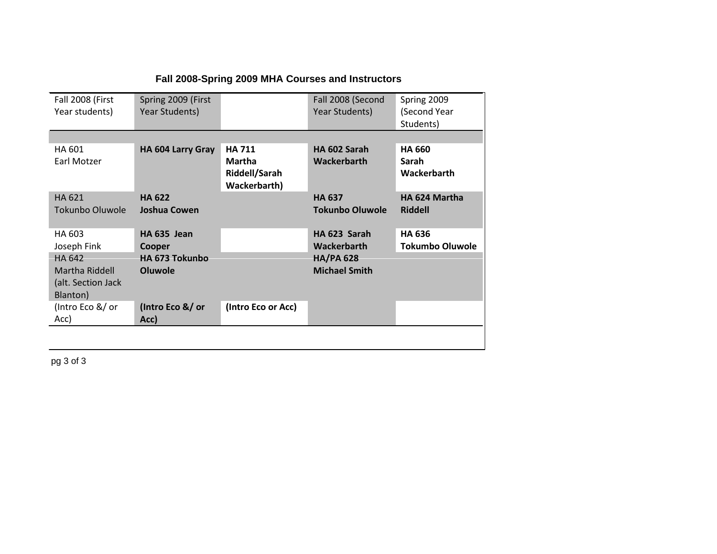| Fall 2008 (First   | Spring 2009 (First |                     | Fall 2008 (Second      | Spring 2009            |
|--------------------|--------------------|---------------------|------------------------|------------------------|
| Year students)     | Year Students)     |                     | Year Students)         | (Second Year           |
|                    |                    |                     |                        | Students)              |
|                    |                    |                     |                        |                        |
| HA 601             | HA 604 Larry Gray  | <b>HA711</b>        | HA 602 Sarah           | <b>HA 660</b>          |
| Earl Motzer        |                    | <b>Martha</b>       | Wackerbarth            | Sarah                  |
|                    |                    | Riddell/Sarah       |                        | Wackerbarth            |
|                    |                    | <b>Wackerbarth)</b> |                        |                        |
| <b>HA 621</b>      | <b>HA 622</b>      |                     | <b>HA 637</b>          | HA 624 Martha          |
| Tokunbo Oluwole    | Joshua Cowen       |                     | <b>Tokunbo Oluwole</b> | <b>Riddell</b>         |
|                    |                    |                     |                        |                        |
| HA 603             | HA 635 Jean        |                     | HA 623 Sarah           | <b>HA 636</b>          |
| Joseph Fink        | Cooper             |                     | <b>Wackerbarth</b>     | <b>Tokumbo Oluwole</b> |
| <b>HA 642</b>      | HA 673 Tokunbo     |                     | <b>HA/PA 628</b>       |                        |
| Martha Riddell     | Oluwole            |                     | <b>Michael Smith</b>   |                        |
| (alt. Section Jack |                    |                     |                        |                        |
| Blanton)           |                    |                     |                        |                        |
| (Intro Eco &/ or   | (Intro Eco &/ or   | (Intro Eco or Acc)  |                        |                        |
| Acc)               | Acc)               |                     |                        |                        |
|                    |                    |                     |                        |                        |
|                    |                    |                     |                        |                        |

## **Fall 2008-Spring 2009 MHA Courses and Instructors**

pg 3 of 3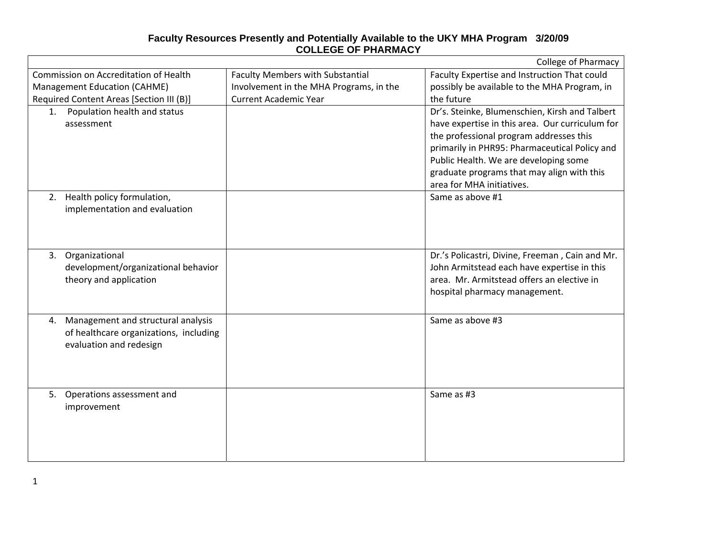### **Faculty Resources Presently and Potentially Available to the UKY MHA Program 3/20/09 COLLEGE OF PHARMACY**

|                                                                                                               |                                         | <b>College of Pharmacy</b>                                                                                                                                                    |
|---------------------------------------------------------------------------------------------------------------|-----------------------------------------|-------------------------------------------------------------------------------------------------------------------------------------------------------------------------------|
| Commission on Accreditation of Health                                                                         | <b>Faculty Members with Substantial</b> | Faculty Expertise and Instruction That could                                                                                                                                  |
| Management Education (CAHME)                                                                                  | Involvement in the MHA Programs, in the | possibly be available to the MHA Program, in                                                                                                                                  |
| Required Content Areas [Section III (B)]                                                                      | <b>Current Academic Year</b>            | the future                                                                                                                                                                    |
| 1. Population health and status<br>assessment                                                                 |                                         | Dr's. Steinke, Blumenschien, Kirsh and Talbert<br>have expertise in this area. Our curriculum for<br>the professional program addresses this                                  |
|                                                                                                               |                                         | primarily in PHR95: Pharmaceutical Policy and                                                                                                                                 |
|                                                                                                               |                                         | Public Health. We are developing some                                                                                                                                         |
|                                                                                                               |                                         | graduate programs that may align with this                                                                                                                                    |
|                                                                                                               |                                         | area for MHA initiatives.                                                                                                                                                     |
| 2. Health policy formulation,<br>implementation and evaluation                                                |                                         | Same as above #1                                                                                                                                                              |
| Organizational<br>3.<br>development/organizational behavior<br>theory and application                         |                                         | Dr.'s Policastri, Divine, Freeman, Cain and Mr.<br>John Armitstead each have expertise in this<br>area. Mr. Armitstead offers an elective in<br>hospital pharmacy management. |
|                                                                                                               |                                         |                                                                                                                                                                               |
| Management and structural analysis<br>4.<br>of healthcare organizations, including<br>evaluation and redesign |                                         | Same as above #3                                                                                                                                                              |
|                                                                                                               |                                         |                                                                                                                                                                               |
| 5.<br>Operations assessment and<br>improvement                                                                |                                         | Same as #3                                                                                                                                                                    |
|                                                                                                               |                                         |                                                                                                                                                                               |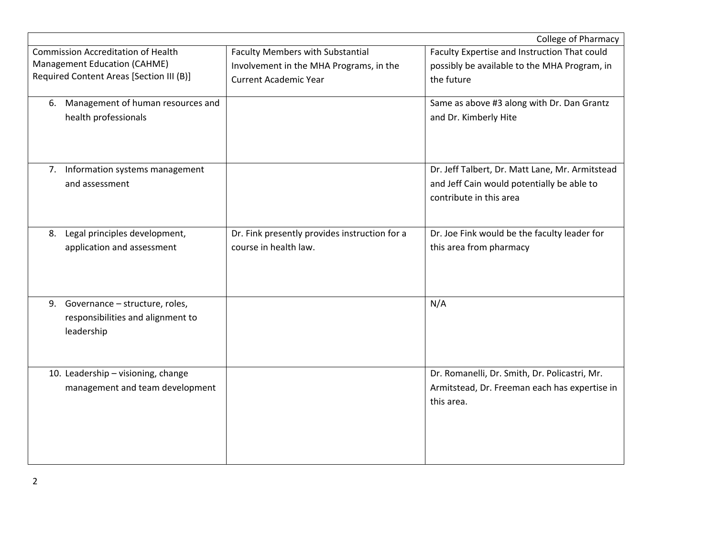|                                           |                                               | College of Pharmacy                             |
|-------------------------------------------|-----------------------------------------------|-------------------------------------------------|
| <b>Commission Accreditation of Health</b> | <b>Faculty Members with Substantial</b>       | Faculty Expertise and Instruction That could    |
| Management Education (CAHME)              | Involvement in the MHA Programs, in the       | possibly be available to the MHA Program, in    |
| Required Content Areas [Section III (B)]  | <b>Current Academic Year</b>                  | the future                                      |
|                                           |                                               |                                                 |
| Management of human resources and<br>6.   |                                               | Same as above #3 along with Dr. Dan Grantz      |
| health professionals                      |                                               | and Dr. Kimberly Hite                           |
|                                           |                                               |                                                 |
|                                           |                                               |                                                 |
| 7. Information systems management         |                                               | Dr. Jeff Talbert, Dr. Matt Lane, Mr. Armitstead |
| and assessment                            |                                               | and Jeff Cain would potentially be able to      |
|                                           |                                               | contribute in this area                         |
|                                           |                                               |                                                 |
| Legal principles development,<br>8.       | Dr. Fink presently provides instruction for a | Dr. Joe Fink would be the faculty leader for    |
| application and assessment                | course in health law.                         | this area from pharmacy                         |
|                                           |                                               |                                                 |
|                                           |                                               |                                                 |
|                                           |                                               |                                                 |
| 9. Governance - structure, roles,         |                                               | N/A                                             |
| responsibilities and alignment to         |                                               |                                                 |
| leadership                                |                                               |                                                 |
|                                           |                                               |                                                 |
| 10. Leadership - visioning, change        |                                               | Dr. Romanelli, Dr. Smith, Dr. Policastri, Mr.   |
| management and team development           |                                               | Armitstead, Dr. Freeman each has expertise in   |
|                                           |                                               | this area.                                      |
|                                           |                                               |                                                 |
|                                           |                                               |                                                 |
|                                           |                                               |                                                 |
|                                           |                                               |                                                 |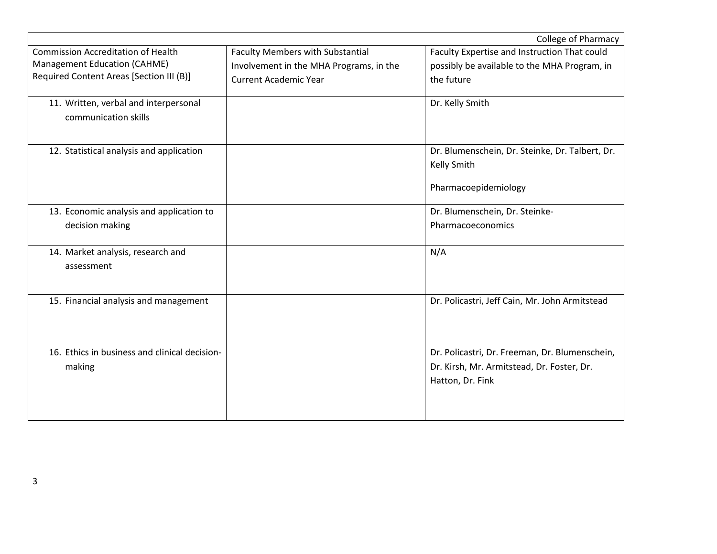|                                                               |                                         | <b>College of Pharmacy</b>                      |
|---------------------------------------------------------------|-----------------------------------------|-------------------------------------------------|
| <b>Commission Accreditation of Health</b>                     | <b>Faculty Members with Substantial</b> | Faculty Expertise and Instruction That could    |
| Management Education (CAHME)                                  | Involvement in the MHA Programs, in the | possibly be available to the MHA Program, in    |
| Required Content Areas [Section III (B)]                      | <b>Current Academic Year</b>            | the future                                      |
| 11. Written, verbal and interpersonal<br>communication skills |                                         | Dr. Kelly Smith                                 |
| 12. Statistical analysis and application                      |                                         | Dr. Blumenschein, Dr. Steinke, Dr. Talbert, Dr. |
|                                                               |                                         | <b>Kelly Smith</b>                              |
|                                                               |                                         | Pharmacoepidemiology                            |
| 13. Economic analysis and application to                      |                                         | Dr. Blumenschein, Dr. Steinke-                  |
| decision making                                               |                                         | Pharmacoeconomics                               |
| 14. Market analysis, research and<br>assessment               |                                         | N/A                                             |
| 15. Financial analysis and management                         |                                         | Dr. Policastri, Jeff Cain, Mr. John Armitstead  |
| 16. Ethics in business and clinical decision-                 |                                         | Dr. Policastri, Dr. Freeman, Dr. Blumenschein,  |
| making                                                        |                                         | Dr. Kirsh, Mr. Armitstead, Dr. Foster, Dr.      |
|                                                               |                                         | Hatton, Dr. Fink                                |
|                                                               |                                         |                                                 |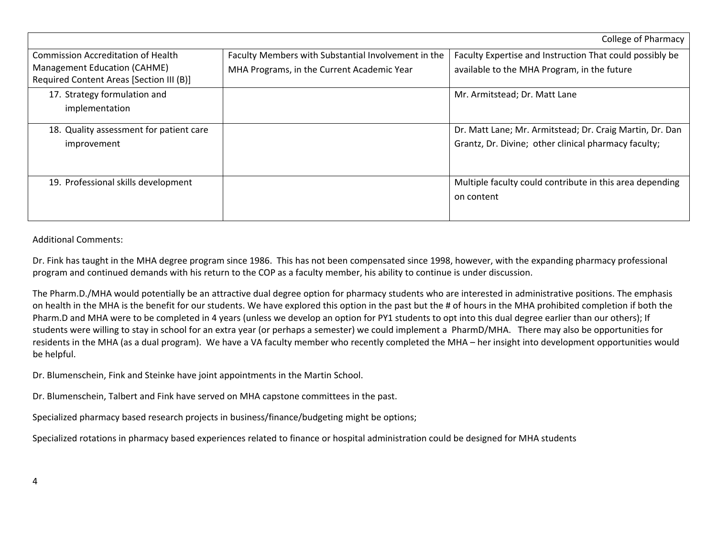|                                                     | <b>College of Pharmacy</b>                               |
|-----------------------------------------------------|----------------------------------------------------------|
| Faculty Members with Substantial Involvement in the | Faculty Expertise and Instruction That could possibly be |
| MHA Programs, in the Current Academic Year          | available to the MHA Program, in the future              |
|                                                     |                                                          |
|                                                     | Mr. Armitstead; Dr. Matt Lane                            |
|                                                     |                                                          |
|                                                     |                                                          |
|                                                     | Dr. Matt Lane; Mr. Armitstead; Dr. Craig Martin, Dr. Dan |
|                                                     | Grantz, Dr. Divine; other clinical pharmacy faculty;     |
|                                                     |                                                          |
|                                                     |                                                          |
|                                                     | Multiple faculty could contribute in this area depending |
|                                                     | on content                                               |
|                                                     |                                                          |
|                                                     |                                                          |

Additional Comments:

Dr. Fink has taught in the MHA degree program since 1986. This has not been compensated since 1998, however, with the expanding pharmacy professional program and continued demands with his return to the COP as <sup>a</sup> faculty member, his ability to continue is under discussion.

The Pharm.D./MHA would potentially be an attractive dual degree option for pharmacy students who are interested in administrative positions. The emphasis on health in the MHA is the benefit for our students. We have explored this option in the past but the # of hours in the MHA prohibited completion if both the Pharm.D and MHA were to be completed in 4 years (unless we develop an option for PY1 students to opt into this dual degree earlier than our others); If students were willing to stay in school for an extra year (or perhaps <sup>a</sup> semester) we could implement <sup>a</sup> PharmD/MHA. There may also be opportunities for residents in the MHA (as <sup>a</sup> dual program). We have <sup>a</sup> VA faculty member who recently completed the MHA – her insight into development opportunities would be helpful.

Dr. Blumenschein, Fink and Steinke have joint appointments in the Martin School.

Dr. Blumenschein, Talbert and Fink have served on MHA capstone committees in the past.

Specialized pharmacy based research projects in business/finance/budgeting might be options;

Specialized rotations in pharmacy based experiences related to finance or hospital administration could be designed for MHA students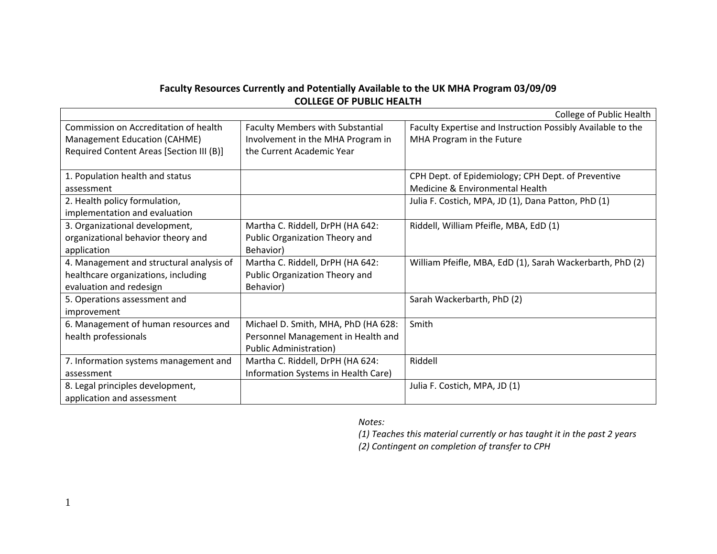## **Faculty Resources Currently and Potentially Available to the UK MHA Program 03/09/09 COLLEGE OF PUBLIC HEALTH**

|                                                                                                                   |                                                                                                            | College of Public Health                                                                 |
|-------------------------------------------------------------------------------------------------------------------|------------------------------------------------------------------------------------------------------------|------------------------------------------------------------------------------------------|
| Commission on Accreditation of health<br>Management Education (CAHME)<br>Required Content Areas [Section III (B)] | <b>Faculty Members with Substantial</b><br>Involvement in the MHA Program in<br>the Current Academic Year  | Faculty Expertise and Instruction Possibly Available to the<br>MHA Program in the Future |
| 1. Population health and status<br>assessment                                                                     |                                                                                                            | CPH Dept. of Epidemiology; CPH Dept. of Preventive<br>Medicine & Environmental Health    |
| 2. Health policy formulation,<br>implementation and evaluation                                                    |                                                                                                            | Julia F. Costich, MPA, JD (1), Dana Patton, PhD (1)                                      |
| 3. Organizational development,<br>organizational behavior theory and<br>application                               | Martha C. Riddell, DrPH (HA 642:<br>Public Organization Theory and<br>Behavior)                            | Riddell, William Pfeifle, MBA, EdD (1)                                                   |
| 4. Management and structural analysis of<br>healthcare organizations, including<br>evaluation and redesign        | Martha C. Riddell, DrPH (HA 642:<br>Public Organization Theory and<br>Behavior)                            | William Pfeifle, MBA, EdD (1), Sarah Wackerbarth, PhD (2)                                |
| 5. Operations assessment and<br>improvement                                                                       |                                                                                                            | Sarah Wackerbarth, PhD (2)                                                               |
| 6. Management of human resources and<br>health professionals                                                      | Michael D. Smith, MHA, PhD (HA 628:<br>Personnel Management in Health and<br><b>Public Administration)</b> | Smith                                                                                    |
| 7. Information systems management and<br>assessment                                                               | Martha C. Riddell, DrPH (HA 624:<br>Information Systems in Health Care)                                    | Riddell                                                                                  |
| 8. Legal principles development,<br>application and assessment                                                    |                                                                                                            | Julia F. Costich, MPA, JD (1)                                                            |

*Notes:*

*(1) Teaches this material currently or has taught it in the past 2 years (2) Contingent on completion of transfer to CPH*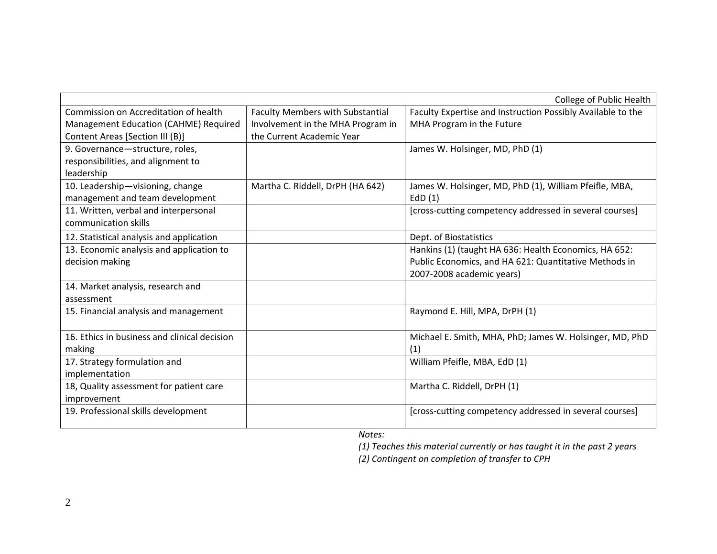|                                              |                                         | College of Public Health                                    |
|----------------------------------------------|-----------------------------------------|-------------------------------------------------------------|
| Commission on Accreditation of health        | <b>Faculty Members with Substantial</b> | Faculty Expertise and Instruction Possibly Available to the |
| Management Education (CAHME) Required        | Involvement in the MHA Program in       | MHA Program in the Future                                   |
| Content Areas [Section III (B)]              | the Current Academic Year               |                                                             |
| 9. Governance-structure, roles,              |                                         | James W. Holsinger, MD, PhD (1)                             |
| responsibilities, and alignment to           |                                         |                                                             |
| leadership                                   |                                         |                                                             |
| 10. Leadership-visioning, change             | Martha C. Riddell, DrPH (HA 642)        | James W. Holsinger, MD, PhD (1), William Pfeifle, MBA,      |
| management and team development              |                                         | EdD $(1)$                                                   |
| 11. Written, verbal and interpersonal        |                                         | [cross-cutting competency addressed in several courses]     |
| communication skills                         |                                         |                                                             |
| 12. Statistical analysis and application     |                                         | Dept. of Biostatistics                                      |
| 13. Economic analysis and application to     |                                         | Hankins (1) (taught HA 636: Health Economics, HA 652:       |
| decision making                              |                                         | Public Economics, and HA 621: Quantitative Methods in       |
|                                              |                                         | 2007-2008 academic years)                                   |
| 14. Market analysis, research and            |                                         |                                                             |
| assessment                                   |                                         |                                                             |
| 15. Financial analysis and management        |                                         | Raymond E. Hill, MPA, DrPH (1)                              |
|                                              |                                         |                                                             |
| 16. Ethics in business and clinical decision |                                         | Michael E. Smith, MHA, PhD; James W. Holsinger, MD, PhD     |
| making                                       |                                         | (1)                                                         |
| 17. Strategy formulation and                 |                                         | William Pfeifle, MBA, EdD (1)                               |
| implementation                               |                                         |                                                             |
| 18, Quality assessment for patient care      |                                         | Martha C. Riddell, DrPH (1)                                 |
| improvement                                  |                                         |                                                             |
| 19. Professional skills development          |                                         | [cross-cutting competency addressed in several courses]     |
|                                              |                                         |                                                             |

*Notes:*

*(1) Teaches this material currently or has taught it in the past 2 years (2) Contingent on completion of transfer to CPH*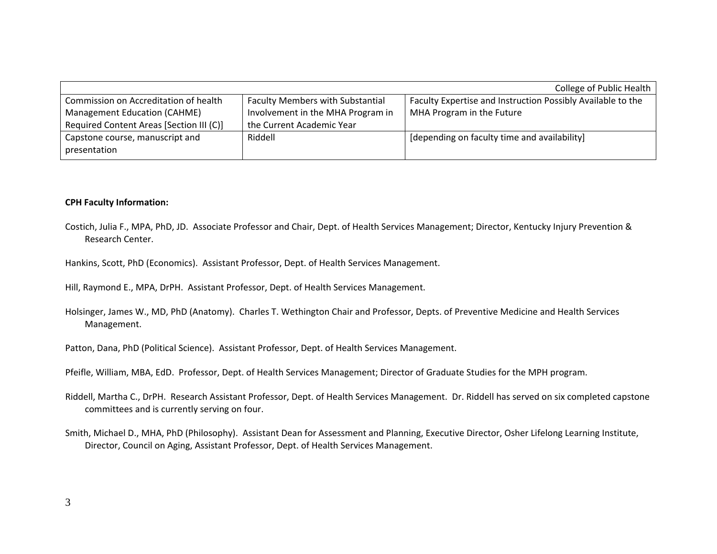|                                          |                                         | College of Public Health                                    |
|------------------------------------------|-----------------------------------------|-------------------------------------------------------------|
| Commission on Accreditation of health    | <b>Faculty Members with Substantial</b> | Faculty Expertise and Instruction Possibly Available to the |
| <b>Management Education (CAHME)</b>      | Involvement in the MHA Program in       | MHA Program in the Future                                   |
| Required Content Areas [Section III (C)] | the Current Academic Year               |                                                             |
| Capstone course, manuscript and          | Riddell                                 | [depending on faculty time and availability]                |
| presentation                             |                                         |                                                             |

### **CPH Faculty Information:**

- Costich, Julia F., MPA, PhD, JD. Associate Professor and Chair, Dept. of Health Services Management; Director, Kentucky Injury Prevention & Research Center.
- Hankins, Scott, PhD (Economics). Assistant Professor, Dept. of Health Services Management.

Hill, Raymond E., MPA, DrPH. Assistant Professor, Dept. of Health Services Management.

Holsinger, James W., MD, PhD (Anatomy). Charles T. Wethington Chair and Professor, Depts. of Preventive Medicine and Health Services Management.

Patton, Dana, PhD (Political Science). Assistant Professor, Dept. of Health Services Management.

Pfeifle, William, MBA, EdD. Professor, Dept. of Health Services Management; Director of Graduate Studies for the MPH program.

- Riddell, Martha C., DrPH. Research Assistant Professor, Dept. of Health Services Management. Dr. Riddell has served on six completed capstone committees and is currently serving on four.
- Smith, Michael D., MHA, PhD (Philosophy). Assistant Dean for Assessment and Planning, Executive Director, Osher Lifelong Learning Institute, Director, Council on Aging, Assistant Professor, Dept. of Health Services Management.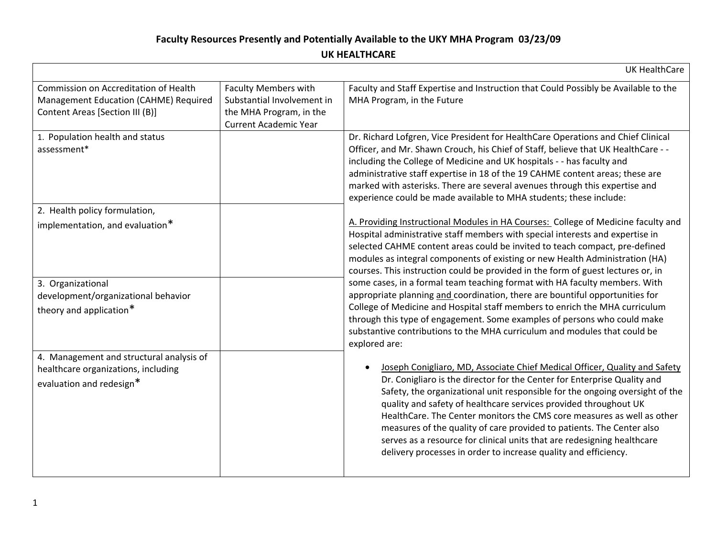## **Faculty Resources Presently and Potentially Available to the UKY MHA Program 03/23/09**

### **UK HEALTHCARE**

|                                                                                                                   |                                                                                                                      | <b>UK HealthCare</b>                                                                                                                                                                                                                                                                                                                                                                                                                                                                                                                                                                                        |
|-------------------------------------------------------------------------------------------------------------------|----------------------------------------------------------------------------------------------------------------------|-------------------------------------------------------------------------------------------------------------------------------------------------------------------------------------------------------------------------------------------------------------------------------------------------------------------------------------------------------------------------------------------------------------------------------------------------------------------------------------------------------------------------------------------------------------------------------------------------------------|
| Commission on Accreditation of Health<br>Management Education (CAHME) Required<br>Content Areas [Section III (B)] | <b>Faculty Members with</b><br>Substantial Involvement in<br>the MHA Program, in the<br><b>Current Academic Year</b> | Faculty and Staff Expertise and Instruction that Could Possibly be Available to the<br>MHA Program, in the Future                                                                                                                                                                                                                                                                                                                                                                                                                                                                                           |
| 1. Population health and status<br>assessment*                                                                    |                                                                                                                      | Dr. Richard Lofgren, Vice President for HealthCare Operations and Chief Clinical<br>Officer, and Mr. Shawn Crouch, his Chief of Staff, believe that UK HealthCare --<br>including the College of Medicine and UK hospitals - - has faculty and<br>administrative staff expertise in 18 of the 19 CAHME content areas; these are<br>marked with asterisks. There are several avenues through this expertise and<br>experience could be made available to MHA students; these include:                                                                                                                        |
| 2. Health policy formulation,<br>implementation, and evaluation*                                                  |                                                                                                                      | A. Providing Instructional Modules in HA Courses: College of Medicine faculty and<br>Hospital administrative staff members with special interests and expertise in<br>selected CAHME content areas could be invited to teach compact, pre-defined<br>modules as integral components of existing or new Health Administration (HA)<br>courses. This instruction could be provided in the form of guest lectures or, in                                                                                                                                                                                       |
| 3. Organizational<br>development/organizational behavior<br>theory and application*                               |                                                                                                                      | some cases, in a formal team teaching format with HA faculty members. With<br>appropriate planning and coordination, there are bountiful opportunities for<br>College of Medicine and Hospital staff members to enrich the MHA curriculum<br>through this type of engagement. Some examples of persons who could make<br>substantive contributions to the MHA curriculum and modules that could be<br>explored are:                                                                                                                                                                                         |
| 4. Management and structural analysis of<br>healthcare organizations, including<br>evaluation and redesign*       |                                                                                                                      | Joseph Conigliaro, MD, Associate Chief Medical Officer, Quality and Safety<br>Dr. Conigliaro is the director for the Center for Enterprise Quality and<br>Safety, the organizational unit responsible for the ongoing oversight of the<br>quality and safety of healthcare services provided throughout UK<br>HealthCare. The Center monitors the CMS core measures as well as other<br>measures of the quality of care provided to patients. The Center also<br>serves as a resource for clinical units that are redesigning healthcare<br>delivery processes in order to increase quality and efficiency. |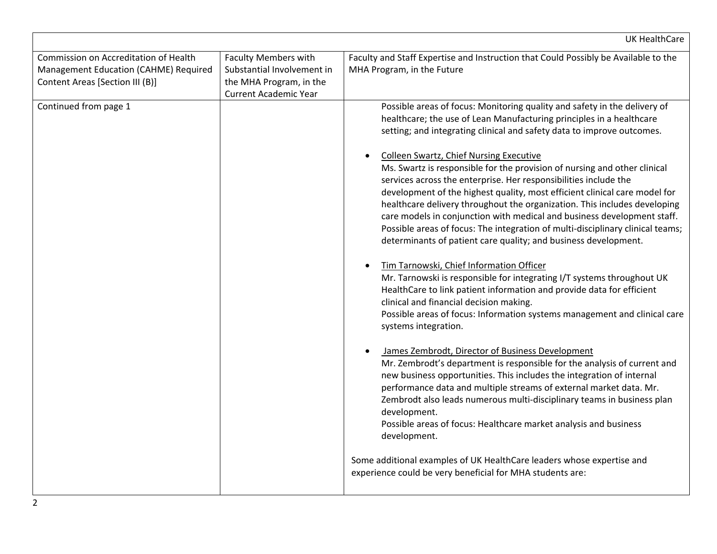|                                                                                                                   |                                                                                                                      | <b>UK HealthCare</b>                                                                                                                                                                                                                                                                                                                                                                                                                                                                                                                                                                                                                                                                                                                                                                                                                                                                                                                                                                                                                                                                                                                                                                                                                                                                                                                                                                                                                                                                                                                                                                                                                                                                                                                                                        |
|-------------------------------------------------------------------------------------------------------------------|----------------------------------------------------------------------------------------------------------------------|-----------------------------------------------------------------------------------------------------------------------------------------------------------------------------------------------------------------------------------------------------------------------------------------------------------------------------------------------------------------------------------------------------------------------------------------------------------------------------------------------------------------------------------------------------------------------------------------------------------------------------------------------------------------------------------------------------------------------------------------------------------------------------------------------------------------------------------------------------------------------------------------------------------------------------------------------------------------------------------------------------------------------------------------------------------------------------------------------------------------------------------------------------------------------------------------------------------------------------------------------------------------------------------------------------------------------------------------------------------------------------------------------------------------------------------------------------------------------------------------------------------------------------------------------------------------------------------------------------------------------------------------------------------------------------------------------------------------------------------------------------------------------------|
| Commission on Accreditation of Health<br>Management Education (CAHME) Required<br>Content Areas [Section III (B)] | <b>Faculty Members with</b><br>Substantial Involvement in<br>the MHA Program, in the<br><b>Current Academic Year</b> | Faculty and Staff Expertise and Instruction that Could Possibly be Available to the<br>MHA Program, in the Future                                                                                                                                                                                                                                                                                                                                                                                                                                                                                                                                                                                                                                                                                                                                                                                                                                                                                                                                                                                                                                                                                                                                                                                                                                                                                                                                                                                                                                                                                                                                                                                                                                                           |
| Continued from page 1                                                                                             |                                                                                                                      | Possible areas of focus: Monitoring quality and safety in the delivery of<br>healthcare; the use of Lean Manufacturing principles in a healthcare<br>setting; and integrating clinical and safety data to improve outcomes.<br><b>Colleen Swartz, Chief Nursing Executive</b><br>Ms. Swartz is responsible for the provision of nursing and other clinical<br>services across the enterprise. Her responsibilities include the<br>development of the highest quality, most efficient clinical care model for<br>healthcare delivery throughout the organization. This includes developing<br>care models in conjunction with medical and business development staff.<br>Possible areas of focus: The integration of multi-disciplinary clinical teams;<br>determinants of patient care quality; and business development.<br>Tim Tarnowski, Chief Information Officer<br>Mr. Tarnowski is responsible for integrating I/T systems throughout UK<br>HealthCare to link patient information and provide data for efficient<br>clinical and financial decision making.<br>Possible areas of focus: Information systems management and clinical care<br>systems integration.<br>James Zembrodt, Director of Business Development<br>Mr. Zembrodt's department is responsible for the analysis of current and<br>new business opportunities. This includes the integration of internal<br>performance data and multiple streams of external market data. Mr.<br>Zembrodt also leads numerous multi-disciplinary teams in business plan<br>development.<br>Possible areas of focus: Healthcare market analysis and business<br>development.<br>Some additional examples of UK HealthCare leaders whose expertise and<br>experience could be very beneficial for MHA students are: |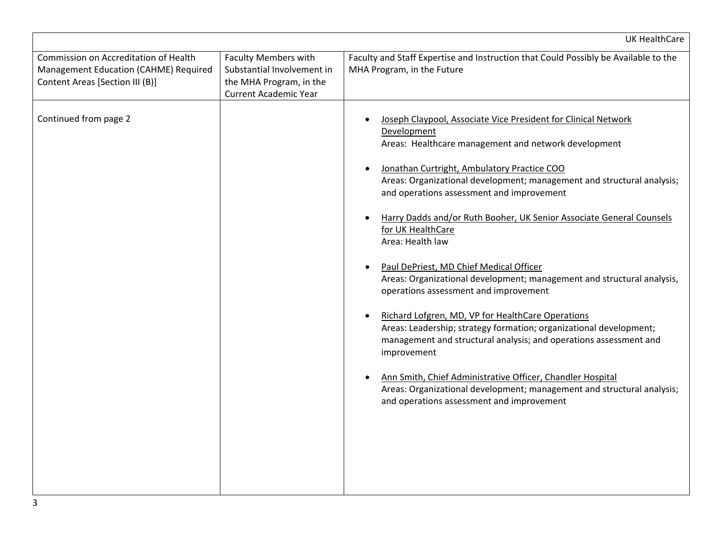|                                                                                                                   |                                                                                                                      | <b>UK HealthCare</b>                                                                                                                                                                                                                                                                                                                                                                                                                                                                                                                                                                                                                                                                                                                                                                                                                                                                                                                                                                                        |
|-------------------------------------------------------------------------------------------------------------------|----------------------------------------------------------------------------------------------------------------------|-------------------------------------------------------------------------------------------------------------------------------------------------------------------------------------------------------------------------------------------------------------------------------------------------------------------------------------------------------------------------------------------------------------------------------------------------------------------------------------------------------------------------------------------------------------------------------------------------------------------------------------------------------------------------------------------------------------------------------------------------------------------------------------------------------------------------------------------------------------------------------------------------------------------------------------------------------------------------------------------------------------|
| Commission on Accreditation of Health<br>Management Education (CAHME) Required<br>Content Areas [Section III (B)] | <b>Faculty Members with</b><br>Substantial Involvement in<br>the MHA Program, in the<br><b>Current Academic Year</b> | Faculty and Staff Expertise and Instruction that Could Possibly be Available to the<br>MHA Program, in the Future                                                                                                                                                                                                                                                                                                                                                                                                                                                                                                                                                                                                                                                                                                                                                                                                                                                                                           |
| Continued from page 2                                                                                             |                                                                                                                      | Joseph Claypool, Associate Vice President for Clinical Network<br>Development<br>Areas: Healthcare management and network development<br>Jonathan Curtright, Ambulatory Practice COO<br>Areas: Organizational development; management and structural analysis;<br>and operations assessment and improvement<br>Harry Dadds and/or Ruth Booher, UK Senior Associate General Counsels<br>for UK HealthCare<br>Area: Health law<br>Paul DePriest, MD Chief Medical Officer<br>Areas: Organizational development; management and structural analysis,<br>operations assessment and improvement<br>Richard Lofgren, MD, VP for HealthCare Operations<br>$\bullet$<br>Areas: Leadership; strategy formation; organizational development;<br>management and structural analysis; and operations assessment and<br>improvement<br>Ann Smith, Chief Administrative Officer, Chandler Hospital<br>Areas: Organizational development; management and structural analysis;<br>and operations assessment and improvement |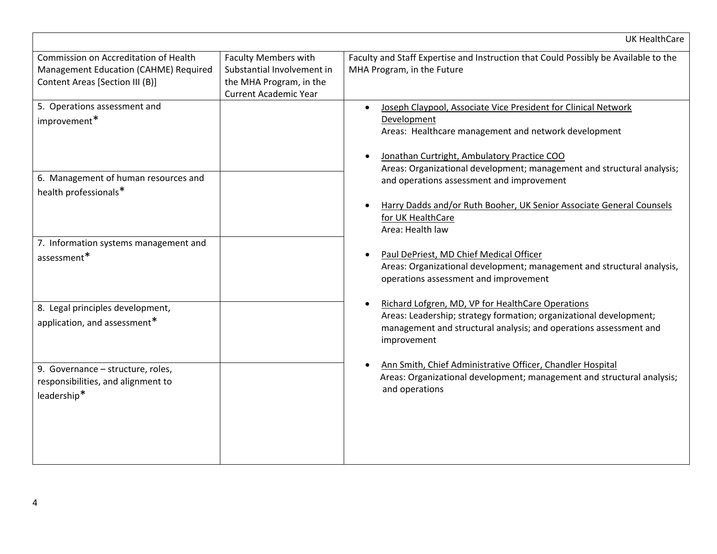|                                                                                                                   |                                                                                                                      | <b>UK HealthCare</b>                                                                                                                                                                                                                                           |
|-------------------------------------------------------------------------------------------------------------------|----------------------------------------------------------------------------------------------------------------------|----------------------------------------------------------------------------------------------------------------------------------------------------------------------------------------------------------------------------------------------------------------|
| Commission on Accreditation of Health<br>Management Education (CAHME) Required<br>Content Areas [Section III (B)] | <b>Faculty Members with</b><br>Substantial Involvement in<br>the MHA Program, in the<br><b>Current Academic Year</b> | Faculty and Staff Expertise and Instruction that Could Possibly be Available to the<br>MHA Program, in the Future                                                                                                                                              |
| 5. Operations assessment and<br>improvement*                                                                      |                                                                                                                      | Joseph Claypool, Associate Vice President for Clinical Network<br>Development<br>Areas: Healthcare management and network development<br>Jonathan Curtright, Ambulatory Practice COO<br>Areas: Organizational development; management and structural analysis; |
| 6. Management of human resources and<br>health professionals*                                                     |                                                                                                                      | and operations assessment and improvement<br>Harry Dadds and/or Ruth Booher, UK Senior Associate General Counsels<br>for UK HealthCare<br>Area: Health law                                                                                                     |
| 7. Information systems management and<br>assessment*                                                              |                                                                                                                      | Paul DePriest, MD Chief Medical Officer<br>Areas: Organizational development; management and structural analysis,<br>operations assessment and improvement                                                                                                     |
| 8. Legal principles development,<br>application, and assessment*                                                  |                                                                                                                      | Richard Lofgren, MD, VP for HealthCare Operations<br>Areas: Leadership; strategy formation; organizational development;<br>management and structural analysis; and operations assessment and<br>improvement                                                    |
| 9. Governance - structure, roles,<br>responsibilities, and alignment to<br>leadership*                            |                                                                                                                      | Ann Smith, Chief Administrative Officer, Chandler Hospital<br>Areas: Organizational development; management and structural analysis;<br>and operations                                                                                                         |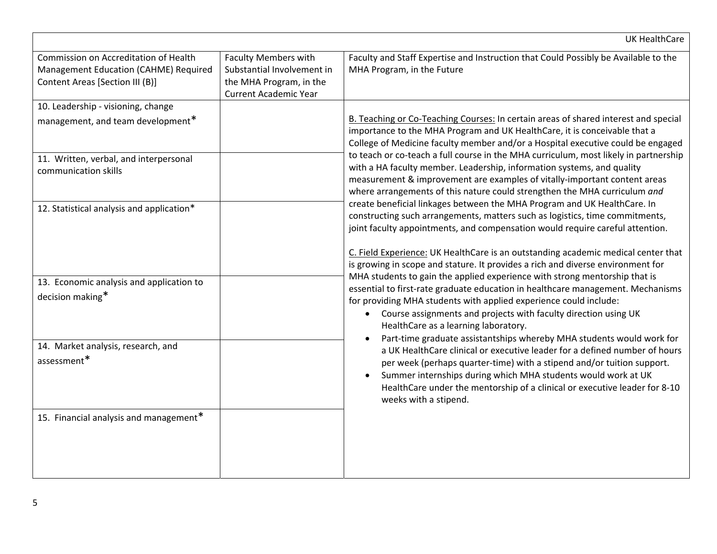|                                                                                                                                           |                                                                                                                      | <b>UK HealthCare</b>                                                                                                                                                                                                                                                                                                                                                                                                                                                                                                  |
|-------------------------------------------------------------------------------------------------------------------------------------------|----------------------------------------------------------------------------------------------------------------------|-----------------------------------------------------------------------------------------------------------------------------------------------------------------------------------------------------------------------------------------------------------------------------------------------------------------------------------------------------------------------------------------------------------------------------------------------------------------------------------------------------------------------|
| Commission on Accreditation of Health<br>Management Education (CAHME) Required<br>Content Areas [Section III (B)]                         | <b>Faculty Members with</b><br>Substantial Involvement in<br>the MHA Program, in the<br><b>Current Academic Year</b> | Faculty and Staff Expertise and Instruction that Could Possibly be Available to the<br>MHA Program, in the Future                                                                                                                                                                                                                                                                                                                                                                                                     |
| 10. Leadership - visioning, change<br>management, and team development*<br>11. Written, verbal, and interpersonal<br>communication skills |                                                                                                                      | B. Teaching or Co-Teaching Courses: In certain areas of shared interest and special<br>importance to the MHA Program and UK HealthCare, it is conceivable that a<br>College of Medicine faculty member and/or a Hospital executive could be engaged<br>to teach or co-teach a full course in the MHA curriculum, most likely in partnership<br>with a HA faculty member. Leadership, information systems, and quality                                                                                                 |
| 12. Statistical analysis and application*                                                                                                 |                                                                                                                      | measurement & improvement are examples of vitally-important content areas<br>where arrangements of this nature could strengthen the MHA curriculum and<br>create beneficial linkages between the MHA Program and UK HealthCare. In<br>constructing such arrangements, matters such as logistics, time commitments,<br>joint faculty appointments, and compensation would require careful attention.                                                                                                                   |
| 13. Economic analysis and application to<br>decision making*                                                                              |                                                                                                                      | C. Field Experience: UK HealthCare is an outstanding academic medical center that<br>is growing in scope and stature. It provides a rich and diverse environment for<br>MHA students to gain the applied experience with strong mentorship that is<br>essential to first-rate graduate education in healthcare management. Mechanisms<br>for providing MHA students with applied experience could include:<br>Course assignments and projects with faculty direction using UK<br>HealthCare as a learning laboratory. |
| 14. Market analysis, research, and<br>assessment*                                                                                         |                                                                                                                      | Part-time graduate assistantships whereby MHA students would work for<br>a UK HealthCare clinical or executive leader for a defined number of hours<br>per week (perhaps quarter-time) with a stipend and/or tuition support.<br>Summer internships during which MHA students would work at UK<br>HealthCare under the mentorship of a clinical or executive leader for 8-10<br>weeks with a stipend.                                                                                                                 |
| 15. Financial analysis and management*                                                                                                    |                                                                                                                      |                                                                                                                                                                                                                                                                                                                                                                                                                                                                                                                       |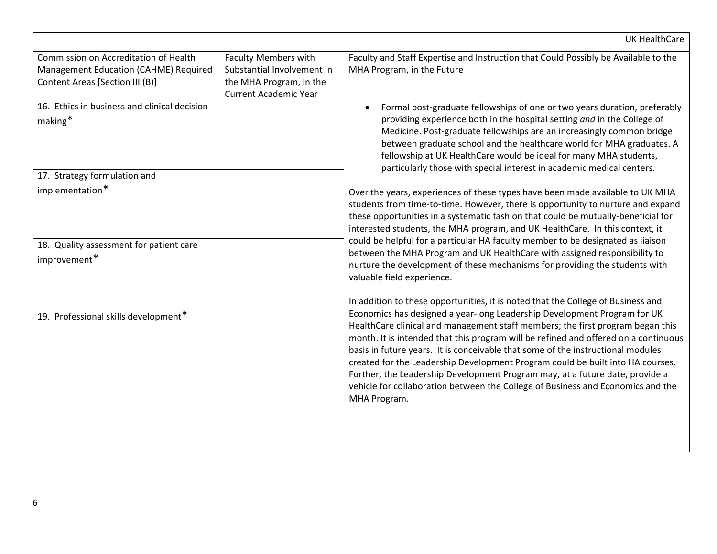|                                                                                                                   |                                                                                                                      | <b>UK HealthCare</b>                                                                                                                                                                                                                                                                                                                                                                                                                                                                                                                                                                                                                                                                          |  |  |
|-------------------------------------------------------------------------------------------------------------------|----------------------------------------------------------------------------------------------------------------------|-----------------------------------------------------------------------------------------------------------------------------------------------------------------------------------------------------------------------------------------------------------------------------------------------------------------------------------------------------------------------------------------------------------------------------------------------------------------------------------------------------------------------------------------------------------------------------------------------------------------------------------------------------------------------------------------------|--|--|
| Commission on Accreditation of Health<br>Management Education (CAHME) Required<br>Content Areas [Section III (B)] | <b>Faculty Members with</b><br>Substantial Involvement in<br>the MHA Program, in the<br><b>Current Academic Year</b> | Faculty and Staff Expertise and Instruction that Could Possibly be Available to the<br>MHA Program, in the Future                                                                                                                                                                                                                                                                                                                                                                                                                                                                                                                                                                             |  |  |
| 16. Ethics in business and clinical decision-<br>making*                                                          |                                                                                                                      | Formal post-graduate fellowships of one or two years duration, preferably<br>providing experience both in the hospital setting and in the College of<br>Medicine. Post-graduate fellowships are an increasingly common bridge<br>between graduate school and the healthcare world for MHA graduates. A<br>fellowship at UK HealthCare would be ideal for many MHA students,<br>particularly those with special interest in academic medical centers.                                                                                                                                                                                                                                          |  |  |
| 17. Strategy formulation and                                                                                      |                                                                                                                      |                                                                                                                                                                                                                                                                                                                                                                                                                                                                                                                                                                                                                                                                                               |  |  |
| implementation*                                                                                                   |                                                                                                                      | Over the years, experiences of these types have been made available to UK MHA<br>students from time-to-time. However, there is opportunity to nurture and expand<br>these opportunities in a systematic fashion that could be mutually-beneficial for<br>interested students, the MHA program, and UK HealthCare. In this context, it<br>could be helpful for a particular HA faculty member to be designated as liaison                                                                                                                                                                                                                                                                      |  |  |
| 18. Quality assessment for patient care<br>improvement*                                                           |                                                                                                                      | between the MHA Program and UK HealthCare with assigned responsibility to<br>nurture the development of these mechanisms for providing the students with<br>valuable field experience.                                                                                                                                                                                                                                                                                                                                                                                                                                                                                                        |  |  |
| 19. Professional skills development*                                                                              |                                                                                                                      | In addition to these opportunities, it is noted that the College of Business and<br>Economics has designed a year-long Leadership Development Program for UK<br>HealthCare clinical and management staff members; the first program began this<br>month. It is intended that this program will be refined and offered on a continuous<br>basis in future years. It is conceivable that some of the instructional modules<br>created for the Leadership Development Program could be built into HA courses.<br>Further, the Leadership Development Program may, at a future date, provide a<br>vehicle for collaboration between the College of Business and Economics and the<br>MHA Program. |  |  |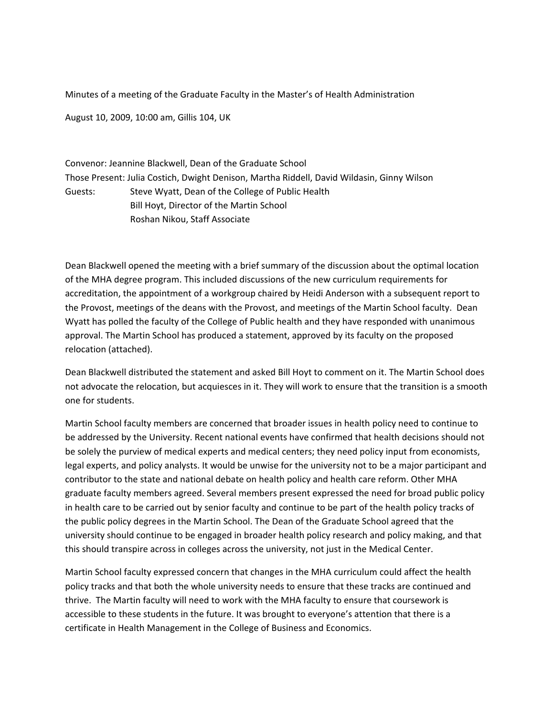Minutes of a meeting of the Graduate Faculty in the Master's of Health Administration

August 10, 2009, 10:00 am, Gillis 104, UK

Convenor: Jeannine Blackwell, Dean of the Graduate School Those Present: Julia Costich, Dwight Denison, Martha Riddell, David Wildasin, Ginny Wilson Guests: Steve Wyatt, Dean of the College of Public Health Bill Hoyt, Director of the Martin School Roshan Nikou, Staff Associate

Dean Blackwell opened the meeting with a brief summary of the discussion about the optimal location of the MHA degree program. This included discussions of the new curriculum requirements for accreditation, the appointment of a workgroup chaired by Heidi Anderson with a subsequent report to the Provost, meetings of the deans with the Provost, and meetings of the Martin School faculty. Dean Wyatt has polled the faculty of the College of Public health and they have responded with unanimous approval. The Martin School has produced a statement, approved by its faculty on the proposed relocation (attached).

Dean Blackwell distributed the statement and asked Bill Hoyt to comment on it. The Martin School does not advocate the relocation, but acquiesces in it. They will work to ensure that the transition is a smooth one for students.

Martin School faculty members are concerned that broader issues in health policy need to continue to be addressed by the University. Recent national events have confirmed that health decisions should not be solely the purview of medical experts and medical centers; they need policy input from economists, legal experts, and policy analysts. It would be unwise for the university not to be a major participant and contributor to the state and national debate on health policy and health care reform. Other MHA graduate faculty members agreed. Several members present expressed the need for broad public policy in health care to be carried out by senior faculty and continue to be part of the health policy tracks of the public policy degrees in the Martin School. The Dean of the Graduate School agreed that the university should continue to be engaged in broader health policy research and policy making, and that this should transpire across in colleges across the university, not just in the Medical Center.

Martin School faculty expressed concern that changes in the MHA curriculum could affect the health policy tracks and that both the whole university needs to ensure that these tracks are continued and thrive. The Martin faculty will need to work with the MHA faculty to ensure that coursework is accessible to these students in the future. It was brought to everyone's attention that there is a certificate in Health Management in the College of Business and Economics.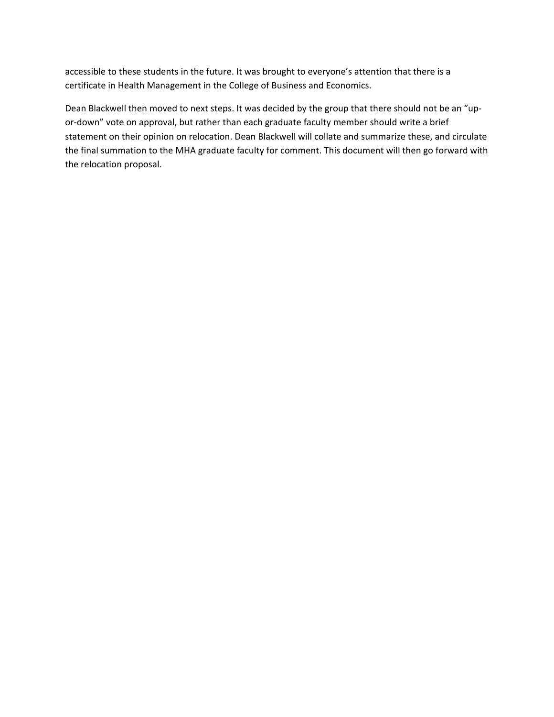accessible to these students in the future. It was brought to everyone's attention that there is a certificate in Health Management in the College of Business and Economics.

Dean Blackwell then moved to next steps. It was decided by the group that there should not be an "upor-down" vote on approval, but rather than each graduate faculty member should write a brief statement on their opinion on relocation. Dean Blackwell will collate and summarize these, and circulate the final summation to the MHA graduate faculty for comment. This document will then go forward with the relocation proposal.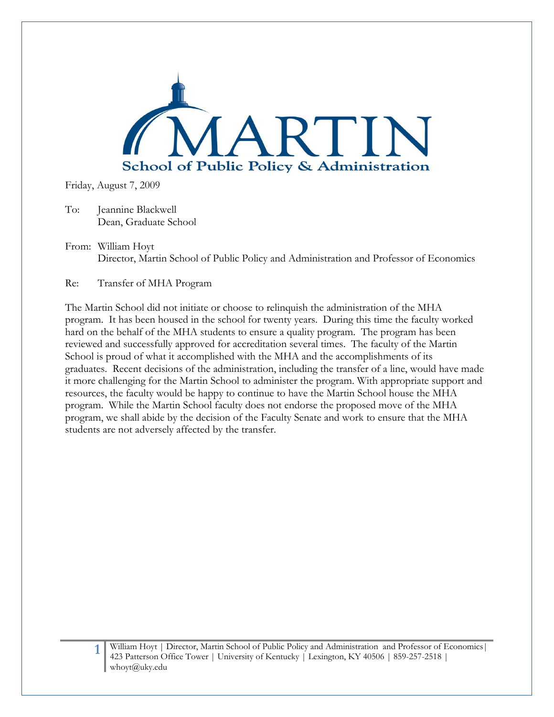

Friday, August 7, 2009

- To: Jeannine Blackwell Dean, Graduate School
- From: William Hoyt Director, Martin School of Public Policy and Administration and Professor of Economics

Re: Transfer of MHA Program

The Martin School did not initiate or choose to relinquish the administration of the MHA program. It has been housed in the school for twenty years. During this time the faculty worked hard on the behalf of the MHA students to ensure a quality program. The program has been reviewed and successfully approved for accreditation several times. The faculty of the Martin School is proud of what it accomplished with the MHA and the accomplishments of its graduates. Recent decisions of the administration, including the transfer of a line, would have made it more challenging for the Martin School to administer the program. With appropriate support and resources, the faculty would be happy to continue to have the Martin School house the MHA program. While the Martin School faculty does not endorse the proposed move of the MHA program, we shall abide by the decision of the Faculty Senate and work to ensure that the MHA students are not adversely affected by the transfer.

**1** William Hoyt | Director, Martin School of Public Policy and Administration and Professor of Economics| 423 Patterson Office Tower | University of Kentucky | Lexington, KY 40506 | 859-257-2518 | whoyt@uky.edu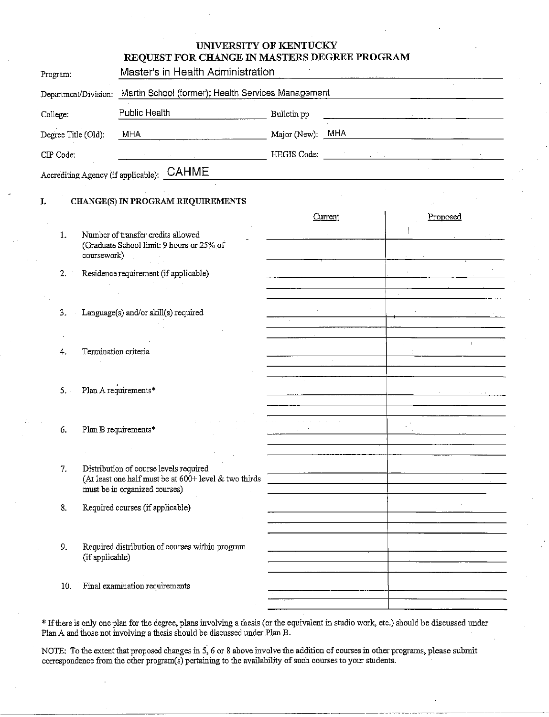|           |     |                      | UNIVERSITY OF KENTUCKY<br>REQUEST FOR CHANGE IN MASTERS DEGREE PROGRAM                                                             |                  |                                                                                                                                                                                                                                        |                                     |                                                                                                                                                                                                                                      |  |
|-----------|-----|----------------------|------------------------------------------------------------------------------------------------------------------------------------|------------------|----------------------------------------------------------------------------------------------------------------------------------------------------------------------------------------------------------------------------------------|-------------------------------------|--------------------------------------------------------------------------------------------------------------------------------------------------------------------------------------------------------------------------------------|--|
| Program:  |     |                      | Master's in Health Administration                                                                                                  |                  |                                                                                                                                                                                                                                        |                                     |                                                                                                                                                                                                                                      |  |
|           |     | Department/Division: | Martin School (former); Health Services Management                                                                                 |                  |                                                                                                                                                                                                                                        |                                     |                                                                                                                                                                                                                                      |  |
| College:  |     |                      | Public Health                                                                                                                      | Bulletin pp      |                                                                                                                                                                                                                                        |                                     |                                                                                                                                                                                                                                      |  |
|           |     | Degree Title (Old):  | <b>MHA</b>                                                                                                                         | Major (New): MHA |                                                                                                                                                                                                                                        |                                     |                                                                                                                                                                                                                                      |  |
| CIP Code: |     |                      |                                                                                                                                    | HEGIS Code:      | $\mathcal{O}(10^{-10})$ . The contract of the contract of the contract of the contract of the contract of the contract of the contract of the contract of the contract of the contract of the contract of the contract of the contract |                                     |                                                                                                                                                                                                                                      |  |
|           |     |                      | Accrediting Agency (if applicable): CAHME                                                                                          |                  |                                                                                                                                                                                                                                        |                                     |                                                                                                                                                                                                                                      |  |
| I.        |     |                      | CHANGE(S) IN PROGRAM REQUIREMENTS                                                                                                  |                  |                                                                                                                                                                                                                                        |                                     |                                                                                                                                                                                                                                      |  |
|           |     |                      |                                                                                                                                    |                  | Current                                                                                                                                                                                                                                |                                     | Proposed                                                                                                                                                                                                                             |  |
|           | 1.  | coursework)          | Number of transfer credits allowed<br>(Graduate School limit: 9 hours or 25% of                                                    |                  |                                                                                                                                                                                                                                        |                                     |                                                                                                                                                                                                                                      |  |
|           | 2.  |                      | Residence requirement (if applicable)                                                                                              |                  |                                                                                                                                                                                                                                        |                                     |                                                                                                                                                                                                                                      |  |
|           | 3.  |                      | Language(s) and/or skill(s) required                                                                                               |                  |                                                                                                                                                                                                                                        |                                     |                                                                                                                                                                                                                                      |  |
|           |     |                      |                                                                                                                                    |                  |                                                                                                                                                                                                                                        |                                     |                                                                                                                                                                                                                                      |  |
|           | 4.  | Termination criteria |                                                                                                                                    |                  |                                                                                                                                                                                                                                        |                                     |                                                                                                                                                                                                                                      |  |
|           |     |                      |                                                                                                                                    |                  |                                                                                                                                                                                                                                        |                                     |                                                                                                                                                                                                                                      |  |
|           | 5.  |                      | Plan A requirements*                                                                                                               |                  |                                                                                                                                                                                                                                        |                                     |                                                                                                                                                                                                                                      |  |
|           | 6.  |                      | Plan B requirements*                                                                                                               |                  |                                                                                                                                                                                                                                        |                                     |                                                                                                                                                                                                                                      |  |
|           |     |                      |                                                                                                                                    |                  |                                                                                                                                                                                                                                        |                                     |                                                                                                                                                                                                                                      |  |
|           | 7.  |                      | Distribution of course levels required<br>(At least one half must be at $600+$ level & two thirds<br>must be in organized courses) |                  | <u> 1989 - Johann Harry Barn, mars ar breist fan de Fryske kommunent fan de ferstjer fan de ferstjer fan de fers</u>                                                                                                                   |                                     | <u>and a strong contract of the strong contract of the strong contract of the strong contract of the strong contract of the strong contract of the strong contract of the strong contract of the strong contract of the strong c</u> |  |
|           | 8.  |                      | Required courses (if applicable)                                                                                                   |                  |                                                                                                                                                                                                                                        |                                     |                                                                                                                                                                                                                                      |  |
|           |     |                      |                                                                                                                                    |                  | the control of the control of the control of the control of the control of<br>the control of the control of the control of the control of                                                                                              | the contract of the contract of the | the control of the control of the con-                                                                                                                                                                                               |  |
|           | 9.  | (if applicable)      | Required distribution of courses within program                                                                                    |                  | the contract of the contract of the contract of the contract of the contract of                                                                                                                                                        |                                     |                                                                                                                                                                                                                                      |  |
|           |     |                      |                                                                                                                                    |                  |                                                                                                                                                                                                                                        |                                     |                                                                                                                                                                                                                                      |  |
|           | 10. |                      | Final examination requirements                                                                                                     |                  |                                                                                                                                                                                                                                        |                                     |                                                                                                                                                                                                                                      |  |
|           |     |                      |                                                                                                                                    |                  |                                                                                                                                                                                                                                        |                                     |                                                                                                                                                                                                                                      |  |

\* If there is only one plan for the degree, plans involving a thesis (or the equivalent in studio work, etc.) should be discussed under Plan A and those not involving a thesis should be discussed under Plan B.

NOTE: To the extent that proposed changes in 5, 6 or 8 above involve the addition of courses in other programs, please submit correspondence from the other program(s) pertaining to the availability of such courses to your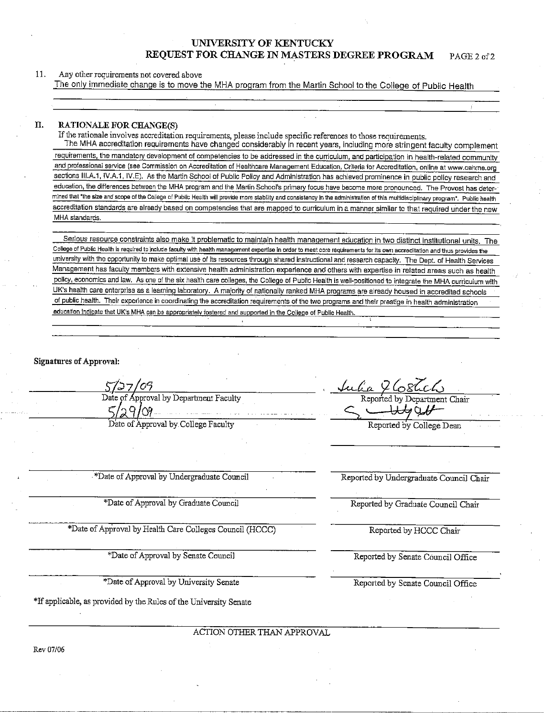#### UNIVERSITY OF KENTUCKY REOUEST FOR CHANGE IN MASTERS DEGREE PROGRAM PAGE 2 of 2

11. Any other requirements not covered above

The only immediate change is to move the MHA program from the Martin School to the College of Public Health

#### **RATIONALE FOR CHANGE(S)** Π.

If the rationale involves accreditation requirements, please include specific references to those requirements.

The MHA accreditation requirements have changed considerably in recent years, including more stringent faculty complement requirements, the mandatory development of competencies to be addressed in the curriculum, and participation in health-related community and professional service (see Commission on Accreditation of Healthcare Management Education, Criteria for Accreditation, online at www.cahme.org sections III.A.1, IV.A.1, IV.E). As the Martin School of Public Policy and Administration has achieved prominence in public policy research and education, the differences between the MHA program and the Martin School's primary focus have become more pronounced. The Provost has determined that "the size and scope of the College of Public Health will provide more stability and consistency in the administration of this multidisciplinary program". Public health accreditation standards are already based on competencies that are mapped to curriculum in a manner similar to that required under the new MHA standards

Serious resource constraints also make it problematic to maintain health management education in two distinct institutional units. The College of Public Health is required to include faculty with health management expertise in order to meet core requirements for its own accreditation and thus provides the university with the opportunity to make optimal use of its resources through shared instructional and research capacity. The Dept. of Health Services Management has faculty members with extensive health administration experience and others with expertise in related areas such as health policy, economics and law. As one of the six health care colleges, the College of Public Health is well-positioned to integrate the MHA curriculum with UK's health care enterprise as a learning laboratory. A majority of nationally ranked MHA programs are already housed in accredited schools of public health. Their experience in coordinating the accreditation requirements of the two programs and their prestige in health administration education indicate that UK's MHA can be appropriately fostered and supported in the College of Public Health

**Signatures of Approval:** 

 $5/37/09$ <br>Date of Approval by Department Faculty<br> $5/29/09$ <br>Allege Faculty an sa tsa barang mana sa tsa tsa tsa tsa

\*Date of Approval by Undergraduate Council

\*Date of Approval by Graduate Council

\*Date of Approval by Health Care Colleges Council (HCCC)

\*Date of Approval by Senate Council

\*Date of Approval by University Senate

\*If applicable, as provided by the Rules of the University Senate

ACTION OTHER THAN APPROVAL

<u>Lulia Y Costich</u><br>Reported by Department Chair<br>Substitution of the Reported by College Dean

Reported by Undergraduate Council Chair

Reported by Graduate Council Chair

Reported by HCCC Chair

Reported by Senate Council Office

Reported by Senate Council Office

Rev 07/06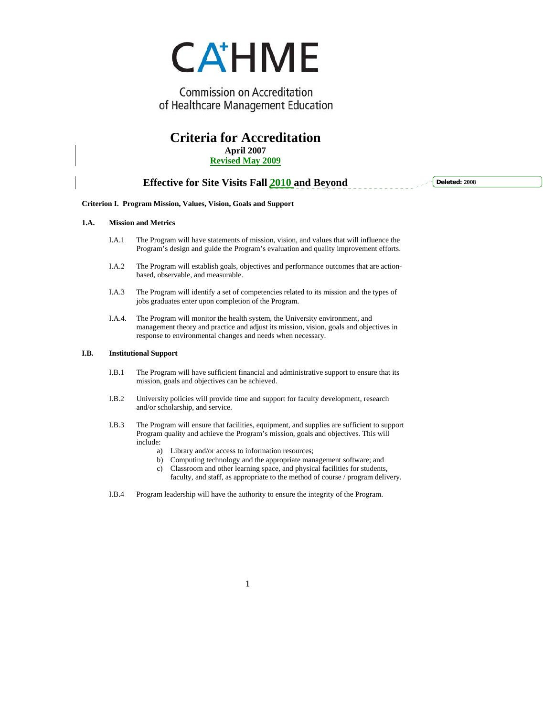

**Commission on Accreditation** of Healthcare Management Education

## **Criteria for Accreditation April 2007 Revised May 2009**

### **Effective for Site Visits Fall 2010 and Beyond**

**Deleted: 2008** 

### **Criterion I. Program Mission, Values, Vision, Goals and Support**

### **1.A. Mission and Metrics**

- I.A.1 The Program will have statements of mission, vision, and values that will influence the Program's design and guide the Program's evaluation and quality improvement efforts.
- I.A.2 The Program will establish goals, objectives and performance outcomes that are actionbased, observable, and measurable.
- I.A.3 The Program will identify a set of competencies related to its mission and the types of jobs graduates enter upon completion of the Program.
- I.A.4. The Program will monitor the health system, the University environment, and management theory and practice and adjust its mission, vision, goals and objectives in response to environmental changes and needs when necessary.

#### **I.B. Institutional Support**

- I.B.1 The Program will have sufficient financial and administrative support to ensure that its mission, goals and objectives can be achieved.
- I.B.2 University policies will provide time and support for faculty development, research and/or scholarship, and service.
- I.B.3 The Program will ensure that facilities, equipment, and supplies are sufficient to support Program quality and achieve the Program's mission, goals and objectives. This will include:
	- a) Library and/or access to information resources;
	- b) Computing technology and the appropriate management software; and
	- c) Classroom and other learning space, and physical facilities for students, faculty, and staff, as appropriate to the method of course / program delivery.
- I.B.4 Program leadership will have the authority to ensure the integrity of the Program.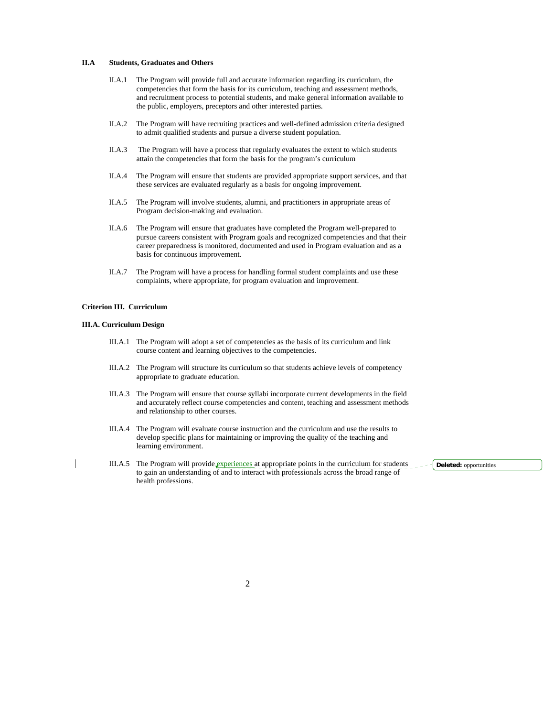#### **II.A Students, Graduates and Others**

- II.A.1 The Program will provide full and accurate information regarding its curriculum, the competencies that form the basis for its curriculum, teaching and assessment methods, and recruitment process to potential students, and make general information available to the public, employers, preceptors and other interested parties.
- II.A.2 The Program will have recruiting practices and well-defined admission criteria designed to admit qualified students and pursue a diverse student population.
- II.A.3 The Program will have a process that regularly evaluates the extent to which students attain the competencies that form the basis for the program's curriculum
- II.A.4 The Program will ensure that students are provided appropriate support services, and that these services are evaluated regularly as a basis for ongoing improvement.
- II.A.5 The Program will involve students, alumni, and practitioners in appropriate areas of Program decision-making and evaluation.
- II.A.6 The Program will ensure that graduates have completed the Program well-prepared to pursue careers consistent with Program goals and recognized competencies and that their career preparedness is monitored, documented and used in Program evaluation and as a basis for continuous improvement.
- II.A.7 The Program will have a process for handling formal student complaints and use these complaints, where appropriate, for program evaluation and improvement.

### **Criterion III. Curriculum**

#### **III.A. Curriculum Design**

- III.A.1 The Program will adopt a set of competencies as the basis of its curriculum and link course content and learning objectives to the competencies.
- III.A.2 The Program will structure its curriculum so that students achieve levels of competency appropriate to graduate education.
- III.A.3 The Program will ensure that course syllabi incorporate current developments in the field and accurately reflect course competencies and content, teaching and assessment methods and relationship to other courses.
- III.A.4 The Program will evaluate course instruction and the curriculum and use the results to develop specific plans for maintaining or improving the quality of the teaching and learning environment.
- III.A.5 The Program will provide experiences at appropriate points in the curriculum for students to gain an understanding of and to interact with professionals across the broad range of health professions.

**Deleted:** opportunities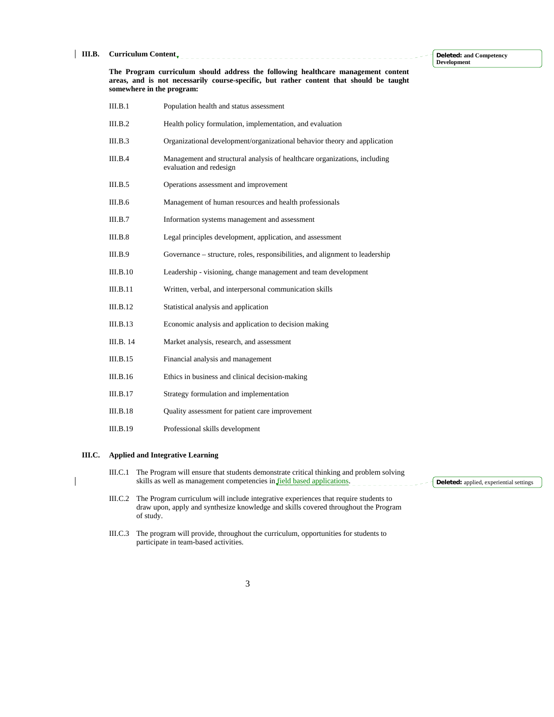| HLB. | <b>Curriculum Content.</b> |  |
|------|----------------------------|--|
|------|----------------------------|--|

**Deleted: and Competency Development**

**The Program curriculum should address the following healthcare management content areas, and is not necessarily course-specific, but rather content that should be taught somewhere in the program:** 

| III.B.1   | Population health and status assessment                                                              |
|-----------|------------------------------------------------------------------------------------------------------|
| III.B.2   | Health policy formulation, implementation, and evaluation                                            |
| III.B.3   | Organizational development/organizational behavior theory and application                            |
| III.B.4   | Management and structural analysis of healthcare organizations, including<br>evaluation and redesign |
| III.B.5   | Operations assessment and improvement                                                                |
| III.B.6   | Management of human resources and health professionals                                               |
| III.B.7   | Information systems management and assessment                                                        |
| III.B.8   | Legal principles development, application, and assessment                                            |
| III.B.9   | Governance – structure, roles, responsibilities, and alignment to leadership                         |
| III.B.10  | Leadership - visioning, change management and team development                                       |
| III.B.11  | Written, verbal, and interpersonal communication skills                                              |
| III.B.12  | Statistical analysis and application                                                                 |
| III.B.13  | Economic analysis and application to decision making                                                 |
| III.B. 14 | Market analysis, research, and assessment                                                            |
| III.B.15  | Financial analysis and management                                                                    |
| III.B.16  | Ethics in business and clinical decision-making                                                      |
| III.B.17  | Strategy formulation and implementation                                                              |
| III.B.18  | Quality assessment for patient care improvement                                                      |
| III.B.19  | Professional skills development                                                                      |
|           |                                                                                                      |

### **III.C. Applied and Integrative Learning**

 $\overline{\phantom{a}}$ 

| III.C.1 The Program will ensure that students demonstrate critical thinking and problem solving |                                                       |
|-------------------------------------------------------------------------------------------------|-------------------------------------------------------|
| skills as well as management competencies in field based applications.                          | $\sim$ <b>Deleted:</b> applied, experiential settings |

- III.C.2 The Program curriculum will include integrative experiences that require students to draw upon, apply and synthesize knowledge and skills covered throughout the Program of study.
- III.C.3 The program will provide, throughout the curriculum, opportunities for students to participate in team-based activities.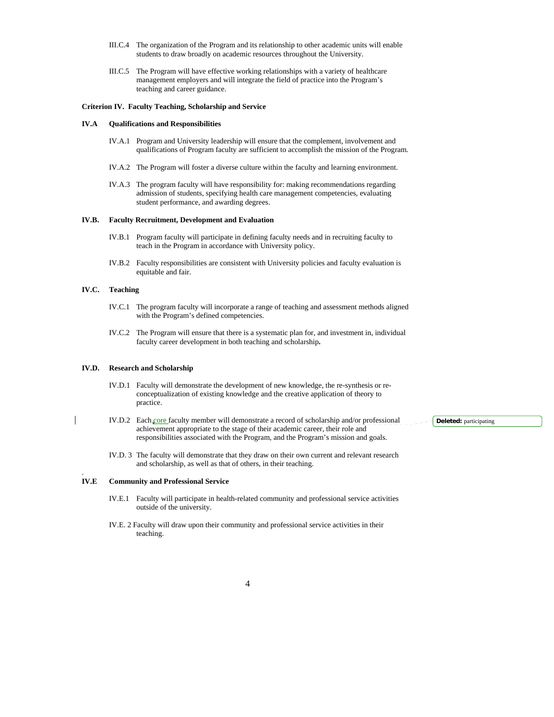- III.C.4 The organization of the Program and its relationship to other academic units will enable students to draw broadly on academic resources throughout the University.
- III.C.5 The Program will have effective working relationships with a variety of healthcare management employers and will integrate the field of practice into the Program's teaching and career guidance.

#### **Criterion IV. Faculty Teaching, Scholarship and Service**

#### **IV.A Qualifications and Responsibilities**

- IV.A.1 Program and University leadership will ensure that the complement, involvement and qualifications of Program faculty are sufficient to accomplish the mission of the Program.
- IV.A.2 The Program will foster a diverse culture within the faculty and learning environment.
- IV.A.3 The program faculty will have responsibility for: making recommendations regarding admission of students, specifying health care management competencies, evaluating student performance, and awarding degrees.

#### **IV.B. Faculty Recruitment, Development and Evaluation**

- IV.B.1 Program faculty will participate in defining faculty needs and in recruiting faculty to teach in the Program in accordance with University policy.
- IV.B.2 Faculty responsibilities are consistent with University policies and faculty evaluation is equitable and fair.

#### **IV.C. Teaching**

.

- IV.C.1 The program faculty will incorporate a range of teaching and assessment methods aligned with the Program's defined competencies.
- IV.C.2 The Program will ensure that there is a systematic plan for, and investment in, individual faculty career development in both teaching and scholarship**.**

#### **IV.D. Research and Scholarship**

- IV.D.1 Faculty will demonstrate the development of new knowledge, the re-synthesis or reconceptualization of existing knowledge and the creative application of theory to practice.
- IV.D.2 Each core faculty member will demonstrate a record of scholarship and/or professional achievement appropriate to the stage of their academic career, their role and responsibilities associated with the Program, and the Program's mission and goals.
- IV.D. 3 The faculty will demonstrate that they draw on their own current and relevant research and scholarship, as well as that of others, in their teaching.

### **IV.E Community and Professional Service**

- IV.E.1 Faculty will participate in health-related community and professional service activities outside of the university.
- IV.E. 2 Faculty will draw upon their community and professional service activities in their teaching.

Deleted: participating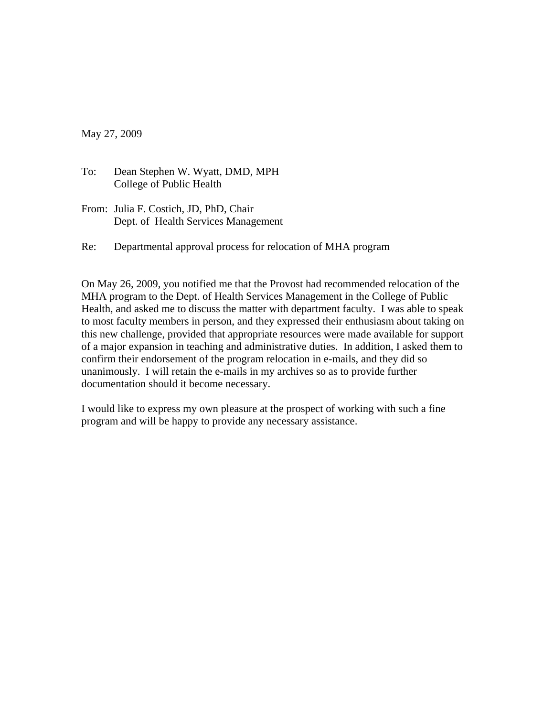May 27, 2009

- To: Dean Stephen W. Wyatt, DMD, MPH College of Public Health
- From: Julia F. Costich, JD, PhD, Chair Dept. of Health Services Management
- Re: Departmental approval process for relocation of MHA program

On May 26, 2009, you notified me that the Provost had recommended relocation of the MHA program to the Dept. of Health Services Management in the College of Public Health, and asked me to discuss the matter with department faculty. I was able to speak to most faculty members in person, and they expressed their enthusiasm about taking on this new challenge, provided that appropriate resources were made available for support of a major expansion in teaching and administrative duties. In addition, I asked them to confirm their endorsement of the program relocation in e-mails, and they did so unanimously. I will retain the e-mails in my archives so as to provide further documentation should it become necessary.

I would like to express my own pleasure at the prospect of working with such a fine program and will be happy to provide any necessary assistance.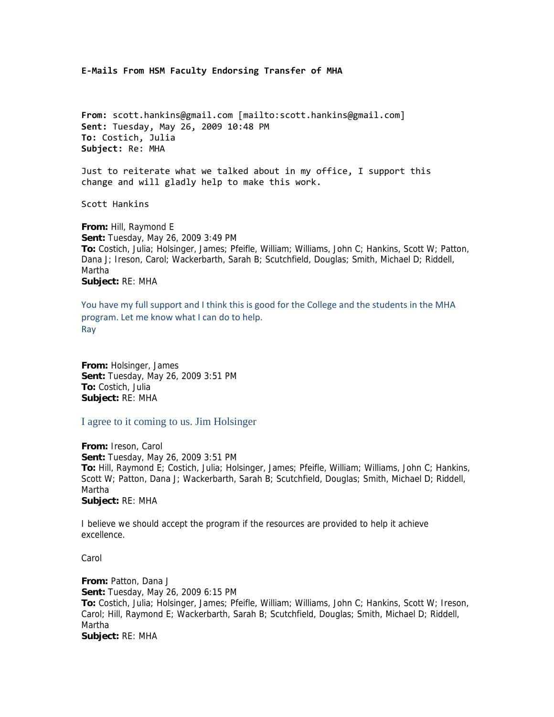**E‐Mails From HSM Faculty Endorsing Transfer of MHA** 

**From:** scott.hankins@gmail.com [mailto:scott.hankins@gmail.com] **Sent:** Tuesday, May 26, 2009 10:48 PM **To:** Costich, Julia **Subject:** Re: MHA

Just to reiterate what we talked about in my office, I support this change and will gladly help to make this work.

Scott Hankins

**From:** Hill, Raymond E **Sent:** Tuesday, May 26, 2009 3:49 PM **To:** Costich, Julia; Holsinger, James; Pfeifle, William; Williams, John C; Hankins, Scott W; Patton, Dana J; Ireson, Carol; Wackerbarth, Sarah B; Scutchfield, Douglas; Smith, Michael D; Riddell, Martha **Subject:** RE: MHA

You have my full support and I think this is good for the College and the students in the MHA program. Let me know what I can do to help. Ray

**From:** Holsinger, James **Sent:** Tuesday, May 26, 2009 3:51 PM **To:** Costich, Julia **Subject:** RE: MHA

### I agree to it coming to us. Jim Holsinger

**From:** Ireson, Carol **Sent:** Tuesday, May 26, 2009 3:51 PM **To:** Hill, Raymond E; Costich, Julia; Holsinger, James; Pfeifle, William; Williams, John C; Hankins, Scott W; Patton, Dana J; Wackerbarth, Sarah B; Scutchfield, Douglas; Smith, Michael D; Riddell, Martha **Subject:** RE: MHA

I believe we should accept the program if the resources are provided to help it achieve excellence.

Carol

**From:** Patton, Dana J **Sent:** Tuesday, May 26, 2009 6:15 PM **To:** Costich, Julia; Holsinger, James; Pfeifle, William; Williams, John C; Hankins, Scott W; Ireson, Carol; Hill, Raymond E; Wackerbarth, Sarah B; Scutchfield, Douglas; Smith, Michael D; Riddell, Martha **Subject:** RE: MHA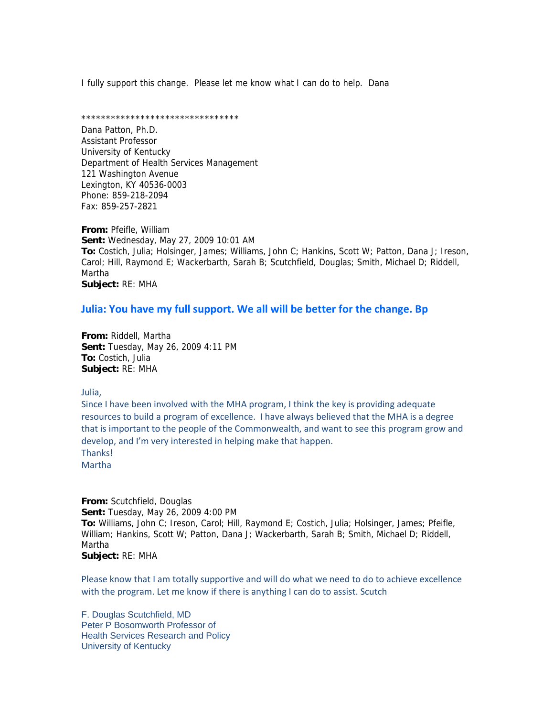I fully support this change. Please let me know what I can do to help. Dana

\*\*\*\*\*\*\*\*\*\*\*\*\*\*\*\*\*\*\*\*\*\*\*\*\*\*\*\*\*\*\*\*

Dana Patton, Ph.D. Assistant Professor University of Kentucky Department of Health Services Management 121 Washington Avenue Lexington, KY 40536-0003 Phone: 859-218-2094 Fax: 859-257-2821

**From:** Pfeifle, William **Sent:** Wednesday, May 27, 2009 10:01 AM **To:** Costich, Julia; Holsinger, James; Williams, John C; Hankins, Scott W; Patton, Dana J; Ireson, Carol; Hill, Raymond E; Wackerbarth, Sarah B; Scutchfield, Douglas; Smith, Michael D; Riddell, Martha **Subject:** RE: MHA

## **Julia: You have my full support. We all will be better for the change. Bp**

**From:** Riddell, Martha **Sent:** Tuesday, May 26, 2009 4:11 PM **To:** Costich, Julia **Subject:** RE: MHA

### Julia,

Since I have been involved with the MHA program, I think the key is providing adequate resources to build a program of excellence. I have always believed that the MHA is a degree that is important to the people of the Commonwealth, and want to see this program grow and develop, and I'm very interested in helping make that happen. Thanks!

Martha

**From:** Scutchfield, Douglas **Sent:** Tuesday, May 26, 2009 4:00 PM **To:** Williams, John C; Ireson, Carol; Hill, Raymond E; Costich, Julia; Holsinger, James; Pfeifle, William; Hankins, Scott W; Patton, Dana J; Wackerbarth, Sarah B; Smith, Michael D; Riddell, Martha **Subject:** RE: MHA

Please know that I am totally supportive and will do what we need to do to achieve excellence with the program. Let me know if there is anything I can do to assist. Scutch

F. Douglas Scutchfield, MD Peter P Bosomworth Professor of Health Services Research and Policy University of Kentucky